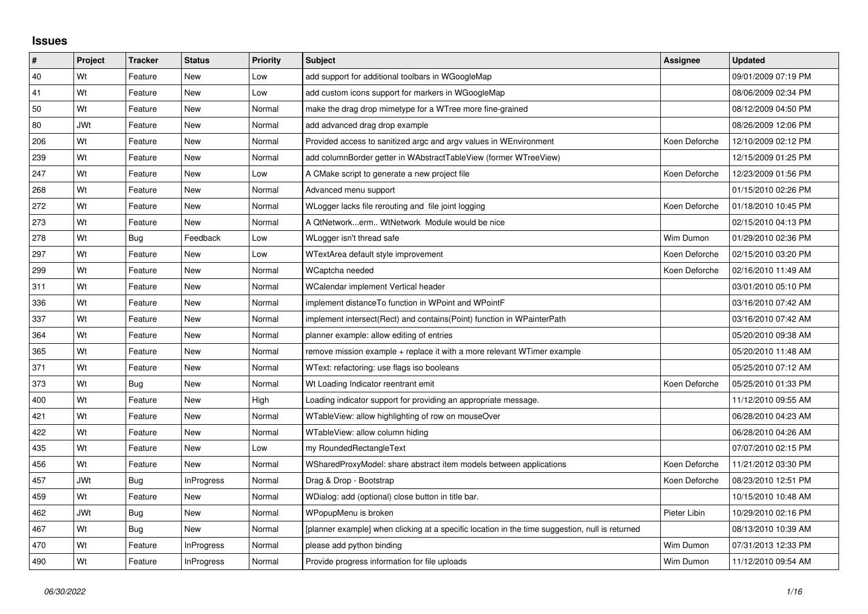## **Issues**

| ∦   | Project    | <b>Tracker</b> | <b>Status</b>     | <b>Priority</b> | <b>Subject</b>                                                                                  | Assignee      | Updated             |
|-----|------------|----------------|-------------------|-----------------|-------------------------------------------------------------------------------------------------|---------------|---------------------|
| 40  | Wt         | Feature        | <b>New</b>        | Low             | add support for additional toolbars in WGoogleMap                                               |               | 09/01/2009 07:19 PM |
| 41  | Wt         | Feature        | <b>New</b>        | Low             | add custom icons support for markers in WGoogleMap                                              |               | 08/06/2009 02:34 PM |
| 50  | Wt         | Feature        | <b>New</b>        | Normal          | make the drag drop mimetype for a WTree more fine-grained                                       |               | 08/12/2009 04:50 PM |
| 80  | JWt        | Feature        | <b>New</b>        | Normal          | add advanced drag drop example                                                                  |               | 08/26/2009 12:06 PM |
| 206 | Wt         | Feature        | New               | Normal          | Provided access to sanitized argc and argy values in WEnvironment                               | Koen Deforche | 12/10/2009 02:12 PM |
| 239 | Wt         | Feature        | <b>New</b>        | Normal          | add columnBorder getter in WAbstractTableView (former WTreeView)                                |               | 12/15/2009 01:25 PM |
| 247 | Wt         | Feature        | <b>New</b>        | Low             | A CMake script to generate a new project file                                                   | Koen Deforche | 12/23/2009 01:56 PM |
| 268 | Wt         | Feature        | <b>New</b>        | Normal          | Advanced menu support                                                                           |               | 01/15/2010 02:26 PM |
| 272 | Wt         | Feature        | <b>New</b>        | Normal          | WLogger lacks file rerouting and file joint logging                                             | Koen Deforche | 01/18/2010 10:45 PM |
| 273 | Wt         | Feature        | <b>New</b>        | Normal          | A QtNetworkerm WtNetwork Module would be nice                                                   |               | 02/15/2010 04:13 PM |
| 278 | Wt         | Bug            | Feedback          | Low             | WLogger isn't thread safe                                                                       | Wim Dumon     | 01/29/2010 02:36 PM |
| 297 | Wt         | Feature        | New               | Low             | WTextArea default style improvement                                                             | Koen Deforche | 02/15/2010 03:20 PM |
| 299 | Wt         | Feature        | <b>New</b>        | Normal          | WCaptcha needed                                                                                 | Koen Deforche | 02/16/2010 11:49 AM |
| 311 | Wt         | Feature        | <b>New</b>        | Normal          | WCalendar implement Vertical header                                                             |               | 03/01/2010 05:10 PM |
| 336 | Wt         | Feature        | New               | Normal          | implement distance To function in WPoint and WPointF                                            |               | 03/16/2010 07:42 AM |
| 337 | Wt         | Feature        | <b>New</b>        | Normal          | implement intersect(Rect) and contains(Point) function in WPainterPath                          |               | 03/16/2010 07:42 AM |
| 364 | Wt         | Feature        | New               | Normal          | planner example: allow editing of entries                                                       |               | 05/20/2010 09:38 AM |
| 365 | Wt         | Feature        | New               | Normal          | remove mission example + replace it with a more relevant WTimer example                         |               | 05/20/2010 11:48 AM |
| 371 | Wt         | Feature        | <b>New</b>        | Normal          | WText: refactoring: use flags iso booleans                                                      |               | 05/25/2010 07:12 AM |
| 373 | Wt         | <b>Bug</b>     | New               | Normal          | Wt Loading Indicator reentrant emit                                                             | Koen Deforche | 05/25/2010 01:33 PM |
| 400 | Wt         | Feature        | New               | High            | Loading indicator support for providing an appropriate message.                                 |               | 11/12/2010 09:55 AM |
| 421 | Wt         | Feature        | <b>New</b>        | Normal          | WTableView: allow highlighting of row on mouseOver                                              |               | 06/28/2010 04:23 AM |
| 422 | Wt         | Feature        | New               | Normal          | WTableView: allow column hiding                                                                 |               | 06/28/2010 04:26 AM |
| 435 | Wt         | Feature        | <b>New</b>        | Low             | my RoundedRectangleText                                                                         |               | 07/07/2010 02:15 PM |
| 456 | Wt         | Feature        | <b>New</b>        | Normal          | WSharedProxyModel: share abstract item models between applications                              | Koen Deforche | 11/21/2012 03:30 PM |
| 457 | <b>JWt</b> | Bug            | <b>InProgress</b> | Normal          | Drag & Drop - Bootstrap                                                                         | Koen Deforche | 08/23/2010 12:51 PM |
| 459 | Wt         | Feature        | <b>New</b>        | Normal          | WDialog: add (optional) close button in title bar.                                              |               | 10/15/2010 10:48 AM |
| 462 | <b>JWt</b> | <b>Bug</b>     | <b>New</b>        | Normal          | WPopupMenu is broken                                                                            | Pieter Libin  | 10/29/2010 02:16 PM |
| 467 | Wt         | Bug            | <b>New</b>        | Normal          | [planner example] when clicking at a specific location in the time suggestion, null is returned |               | 08/13/2010 10:39 AM |
| 470 | Wt         | Feature        | InProgress        | Normal          | please add python binding                                                                       | Wim Dumon     | 07/31/2013 12:33 PM |
| 490 | Wt         | Feature        | <b>InProgress</b> | Normal          | Provide progress information for file uploads                                                   | Wim Dumon     | 11/12/2010 09:54 AM |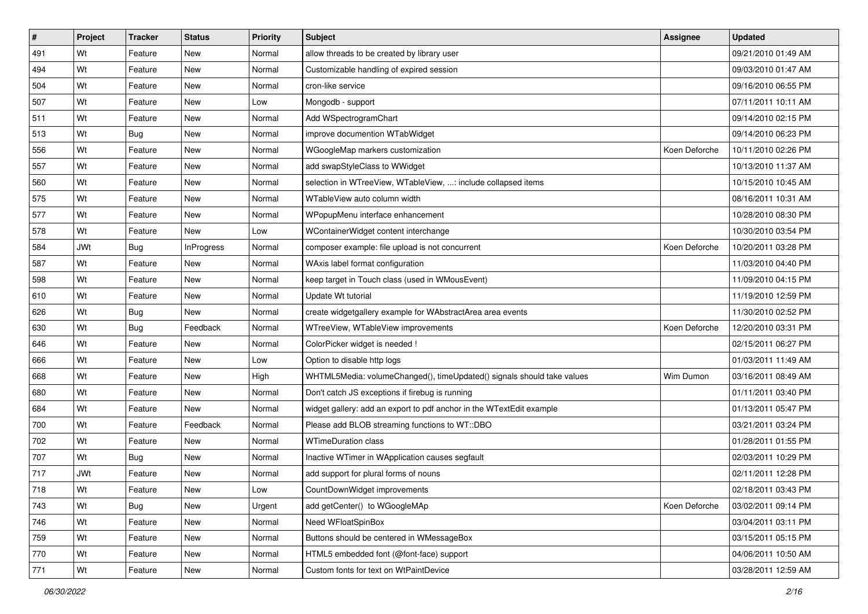| $\sharp$ | Project    | <b>Tracker</b> | <b>Status</b>     | <b>Priority</b> | <b>Subject</b>                                                         | <b>Assignee</b> | <b>Updated</b>      |
|----------|------------|----------------|-------------------|-----------------|------------------------------------------------------------------------|-----------------|---------------------|
| 491      | Wt         | Feature        | New               | Normal          | allow threads to be created by library user                            |                 | 09/21/2010 01:49 AM |
| 494      | Wt         | Feature        | <b>New</b>        | Normal          | Customizable handling of expired session                               |                 | 09/03/2010 01:47 AM |
| 504      | Wt         | Feature        | New               | Normal          | cron-like service                                                      |                 | 09/16/2010 06:55 PM |
| 507      | Wt         | Feature        | New               | Low             | Mongodb - support                                                      |                 | 07/11/2011 10:11 AM |
| 511      | Wt         | Feature        | New               | Normal          | Add WSpectrogramChart                                                  |                 | 09/14/2010 02:15 PM |
| 513      | Wt         | <b>Bug</b>     | New               | Normal          | improve documention WTabWidget                                         |                 | 09/14/2010 06:23 PM |
| 556      | Wt         | Feature        | New               | Normal          | WGoogleMap markers customization                                       | Koen Deforche   | 10/11/2010 02:26 PM |
| 557      | Wt         | Feature        | New               | Normal          | add swapStyleClass to WWidget                                          |                 | 10/13/2010 11:37 AM |
| 560      | Wt         | Feature        | <b>New</b>        | Normal          | selection in WTreeView, WTableView, : include collapsed items          |                 | 10/15/2010 10:45 AM |
| 575      | Wt         | Feature        | New               | Normal          | WTableView auto column width                                           |                 | 08/16/2011 10:31 AM |
| 577      | Wt         | Feature        | <b>New</b>        | Normal          | WPopupMenu interface enhancement                                       |                 | 10/28/2010 08:30 PM |
| 578      | Wt         | Feature        | New               | Low             | WContainerWidget content interchange                                   |                 | 10/30/2010 03:54 PM |
| 584      | <b>JWt</b> | Bug            | <b>InProgress</b> | Normal          | composer example: file upload is not concurrent                        | Koen Deforche   | 10/20/2011 03:28 PM |
| 587      | Wt         | Feature        | New               | Normal          | WAxis label format configuration                                       |                 | 11/03/2010 04:40 PM |
| 598      | Wt         | Feature        | New               | Normal          | keep target in Touch class (used in WMousEvent)                        |                 | 11/09/2010 04:15 PM |
| 610      | Wt         | Feature        | New               | Normal          | Update Wt tutorial                                                     |                 | 11/19/2010 12:59 PM |
| 626      | Wt         | <b>Bug</b>     | New               | Normal          | create widgetgallery example for WAbstractArea area events             |                 | 11/30/2010 02:52 PM |
| 630      | Wt         | <b>Bug</b>     | Feedback          | Normal          | WTreeView, WTableView improvements                                     | Koen Deforche   | 12/20/2010 03:31 PM |
| 646      | Wt         | Feature        | New               | Normal          | ColorPicker widget is needed !                                         |                 | 02/15/2011 06:27 PM |
| 666      | Wt         | Feature        | <b>New</b>        | Low             | Option to disable http logs                                            |                 | 01/03/2011 11:49 AM |
| 668      | Wt         | Feature        | New               | High            | WHTML5Media: volumeChanged(), timeUpdated() signals should take values | Wim Dumon       | 03/16/2011 08:49 AM |
| 680      | Wt         | Feature        | <b>New</b>        | Normal          | Don't catch JS exceptions if firebug is running                        |                 | 01/11/2011 03:40 PM |
| 684      | Wt         | Feature        | <b>New</b>        | Normal          | widget gallery: add an export to pdf anchor in the WTextEdit example   |                 | 01/13/2011 05:47 PM |
| 700      | Wt         | Feature        | Feedback          | Normal          | Please add BLOB streaming functions to WT::DBO                         |                 | 03/21/2011 03:24 PM |
| 702      | Wt         | Feature        | <b>New</b>        | Normal          | <b>WTimeDuration class</b>                                             |                 | 01/28/2011 01:55 PM |
| 707      | Wt         | <b>Bug</b>     | New               | Normal          | Inactive WTimer in WApplication causes segfault                        |                 | 02/03/2011 10:29 PM |
| 717      | <b>JWt</b> | Feature        | New               | Normal          | add support for plural forms of nouns                                  |                 | 02/11/2011 12:28 PM |
| 718      | Wt         | Feature        | New               | Low             | CountDownWidget improvements                                           |                 | 02/18/2011 03:43 PM |
| 743      | Wt         | Bug            | New               | Urgent          | add getCenter() to WGoogleMAp                                          | Koen Deforche   | 03/02/2011 09:14 PM |
| 746      | Wt         | Feature        | New               | Normal          | Need WFloatSpinBox                                                     |                 | 03/04/2011 03:11 PM |
| 759      | Wt         | Feature        | New               | Normal          | Buttons should be centered in WMessageBox                              |                 | 03/15/2011 05:15 PM |
| 770      | Wt         | Feature        | New               | Normal          | HTML5 embedded font (@font-face) support                               |                 | 04/06/2011 10:50 AM |
| 771      | Wt         | Feature        | New               | Normal          | Custom fonts for text on WtPaintDevice                                 |                 | 03/28/2011 12:59 AM |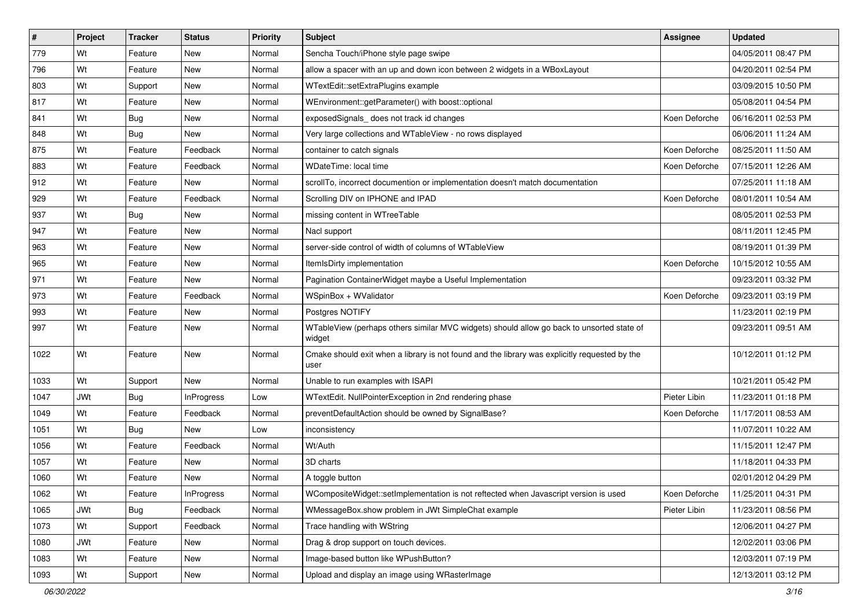| $\sharp$ | Project    | <b>Tracker</b> | <b>Status</b>     | <b>Priority</b> | Subject                                                                                               | Assignee      | <b>Updated</b>      |
|----------|------------|----------------|-------------------|-----------------|-------------------------------------------------------------------------------------------------------|---------------|---------------------|
| 779      | Wt         | Feature        | New               | Normal          | Sencha Touch/iPhone style page swipe                                                                  |               | 04/05/2011 08:47 PM |
| 796      | Wt         | Feature        | New               | Normal          | allow a spacer with an up and down icon between 2 widgets in a WBoxLayout                             |               | 04/20/2011 02:54 PM |
| 803      | Wt         | Support        | New               | Normal          | WTextEdit::setExtraPlugins example                                                                    |               | 03/09/2015 10:50 PM |
| 817      | Wt         | Feature        | New               | Normal          | WEnvironment::getParameter() with boost::optional                                                     |               | 05/08/2011 04:54 PM |
| 841      | Wt         | Bug            | New               | Normal          | exposedSignals_does not track id changes                                                              | Koen Deforche | 06/16/2011 02:53 PM |
| 848      | Wt         | <b>Bug</b>     | New               | Normal          | Very large collections and WTableView - no rows displayed                                             |               | 06/06/2011 11:24 AM |
| 875      | Wt         | Feature        | Feedback          | Normal          | container to catch signals                                                                            | Koen Deforche | 08/25/2011 11:50 AM |
| 883      | Wt         | Feature        | Feedback          | Normal          | WDateTime: local time                                                                                 | Koen Deforche | 07/15/2011 12:26 AM |
| 912      | Wt         | Feature        | New               | Normal          | scrollTo, incorrect documention or implementation doesn't match documentation                         |               | 07/25/2011 11:18 AM |
| 929      | Wt         | Feature        | Feedback          | Normal          | Scrolling DIV on IPHONE and IPAD                                                                      | Koen Deforche | 08/01/2011 10:54 AM |
| 937      | Wt         | Bug            | New               | Normal          | missing content in WTreeTable                                                                         |               | 08/05/2011 02:53 PM |
| 947      | Wt         | Feature        | New               | Normal          | Nacl support                                                                                          |               | 08/11/2011 12:45 PM |
| 963      | Wt         | Feature        | New               | Normal          | server-side control of width of columns of WTableView                                                 |               | 08/19/2011 01:39 PM |
| 965      | Wt         | Feature        | New               | Normal          | ItemIsDirty implementation                                                                            | Koen Deforche | 10/15/2012 10:55 AM |
| 971      | Wt         | Feature        | New               | Normal          | Pagination ContainerWidget maybe a Useful Implementation                                              |               | 09/23/2011 03:32 PM |
| 973      | Wt         | Feature        | Feedback          | Normal          | WSpinBox + WValidator                                                                                 | Koen Deforche | 09/23/2011 03:19 PM |
| 993      | Wt         | Feature        | New               | Normal          | Postgres NOTIFY                                                                                       |               | 11/23/2011 02:19 PM |
| 997      | Wt         | Feature        | New               | Normal          | WTableView (perhaps others similar MVC widgets) should allow go back to unsorted state of<br>widget   |               | 09/23/2011 09:51 AM |
| 1022     | Wt         | Feature        | New               | Normal          | Cmake should exit when a library is not found and the library was explicitly requested by the<br>user |               | 10/12/2011 01:12 PM |
| 1033     | Wt         | Support        | <b>New</b>        | Normal          | Unable to run examples with ISAPI                                                                     |               | 10/21/2011 05:42 PM |
| 1047     | <b>JWt</b> | Bug            | <b>InProgress</b> | Low             | WTextEdit. NullPointerException in 2nd rendering phase                                                | Pieter Libin  | 11/23/2011 01:18 PM |
| 1049     | Wt         | Feature        | Feedback          | Normal          | preventDefaultAction should be owned by SignalBase?                                                   | Koen Deforche | 11/17/2011 08:53 AM |
| 1051     | Wt         | Bug            | New               | Low             | inconsistency                                                                                         |               | 11/07/2011 10:22 AM |
| 1056     | Wt         | Feature        | Feedback          | Normal          | Wt/Auth                                                                                               |               | 11/15/2011 12:47 PM |
| 1057     | Wt         | Feature        | New               | Normal          | 3D charts                                                                                             |               | 11/18/2011 04:33 PM |
| 1060     | Wt         | Feature        | New               | Normal          | A toggle button                                                                                       |               | 02/01/2012 04:29 PM |
| 1062     | Wt         | Feature        | <b>InProgress</b> | Normal          | WCompositeWidget::setImplementation is not reftected when Javascript version is used                  | Koen Deforche | 11/25/2011 04:31 PM |
| 1065     | <b>JWt</b> | Bug            | Feedback          | Normal          | WMessageBox.show problem in JWt SimpleChat example                                                    | Pieter Libin  | 11/23/2011 08:56 PM |
| 1073     | Wt         | Support        | Feedback          | Normal          | Trace handling with WString                                                                           |               | 12/06/2011 04:27 PM |
| 1080     | <b>JWt</b> | Feature        | New               | Normal          | Drag & drop support on touch devices.                                                                 |               | 12/02/2011 03:06 PM |
| 1083     | Wt         | Feature        | New               | Normal          | Image-based button like WPushButton?                                                                  |               | 12/03/2011 07:19 PM |
| 1093     | Wt         | Support        | New               | Normal          | Upload and display an image using WRasterImage                                                        |               | 12/13/2011 03:12 PM |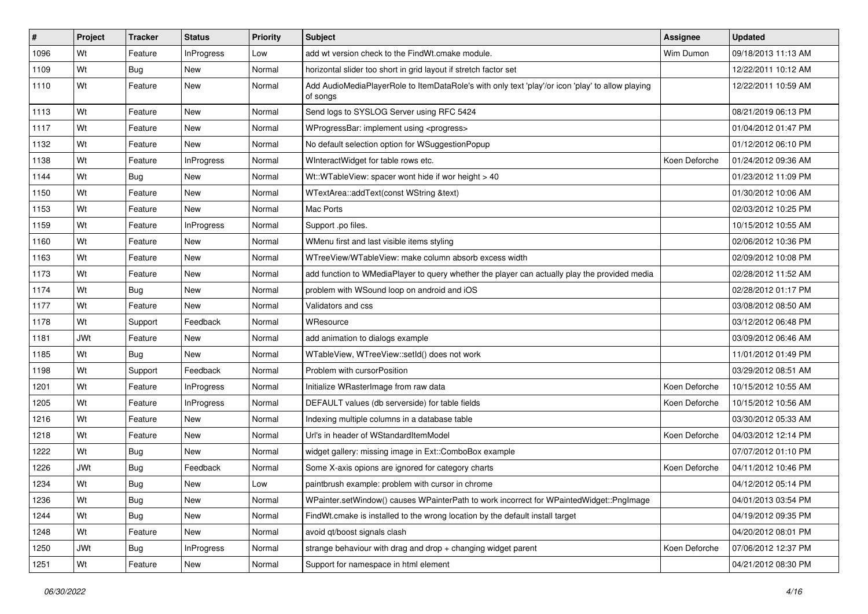| $\sharp$ | Project    | <b>Tracker</b> | <b>Status</b>     | <b>Priority</b> | Subject                                                                                                      | Assignee      | <b>Updated</b>      |
|----------|------------|----------------|-------------------|-----------------|--------------------------------------------------------------------------------------------------------------|---------------|---------------------|
| 1096     | Wt         | Feature        | <b>InProgress</b> | Low             | add wt version check to the FindWt.cmake module.                                                             | Wim Dumon     | 09/18/2013 11:13 AM |
| 1109     | Wt         | <b>Bug</b>     | New               | Normal          | horizontal slider too short in grid layout if stretch factor set                                             |               | 12/22/2011 10:12 AM |
| 1110     | Wt         | Feature        | New               | Normal          | Add AudioMediaPlayerRole to ItemDataRole's with only text 'play'/or icon 'play' to allow playing<br>of songs |               | 12/22/2011 10:59 AM |
| 1113     | Wt         | Feature        | <b>New</b>        | Normal          | Send logs to SYSLOG Server using RFC 5424                                                                    |               | 08/21/2019 06:13 PM |
| 1117     | Wt         | Feature        | New               | Normal          | WProgressBar: implement using <progress></progress>                                                          |               | 01/04/2012 01:47 PM |
| 1132     | Wt         | Feature        | New               | Normal          | No default selection option for WSuggestionPopup                                                             |               | 01/12/2012 06:10 PM |
| 1138     | Wt         | Feature        | <b>InProgress</b> | Normal          | WInteractWidget for table rows etc.                                                                          | Koen Deforche | 01/24/2012 09:36 AM |
| 1144     | Wt         | <b>Bug</b>     | New               | Normal          | Wt::WTableView: spacer wont hide if wor height > 40                                                          |               | 01/23/2012 11:09 PM |
| 1150     | Wt         | Feature        | <b>New</b>        | Normal          | WTextArea::addText(const WString &text)                                                                      |               | 01/30/2012 10:06 AM |
| 1153     | Wt         | Feature        | New               | Normal          | Mac Ports                                                                                                    |               | 02/03/2012 10:25 PM |
| 1159     | Wt         | Feature        | <b>InProgress</b> | Normal          | Support .po files.                                                                                           |               | 10/15/2012 10:55 AM |
| 1160     | Wt         | Feature        | <b>New</b>        | Normal          | WMenu first and last visible items styling                                                                   |               | 02/06/2012 10:36 PM |
| 1163     | Wt         | Feature        | New               | Normal          | WTreeView/WTableView: make column absorb excess width                                                        |               | 02/09/2012 10:08 PM |
| 1173     | Wt         | Feature        | <b>New</b>        | Normal          | add function to WMediaPlayer to query whether the player can actually play the provided media                |               | 02/28/2012 11:52 AM |
| 1174     | Wt         | <b>Bug</b>     | New               | Normal          | problem with WSound loop on android and iOS                                                                  |               | 02/28/2012 01:17 PM |
| 1177     | Wt         | Feature        | <b>New</b>        | Normal          | Validators and css                                                                                           |               | 03/08/2012 08:50 AM |
| 1178     | Wt         | Support        | Feedback          | Normal          | WResource                                                                                                    |               | 03/12/2012 06:48 PM |
| 1181     | <b>JWt</b> | Feature        | New               | Normal          | add animation to dialogs example                                                                             |               | 03/09/2012 06:46 AM |
| 1185     | Wt         | Bug            | New               | Normal          | WTableView, WTreeView::setId() does not work                                                                 |               | 11/01/2012 01:49 PM |
| 1198     | Wt         | Support        | Feedback          | Normal          | Problem with cursorPosition                                                                                  |               | 03/29/2012 08:51 AM |
| 1201     | Wt         | Feature        | InProgress        | Normal          | Initialize WRasterImage from raw data                                                                        | Koen Deforche | 10/15/2012 10:55 AM |
| 1205     | Wt         | Feature        | InProgress        | Normal          | DEFAULT values (db serverside) for table fields                                                              | Koen Deforche | 10/15/2012 10:56 AM |
| 1216     | Wt         | Feature        | New               | Normal          | Indexing multiple columns in a database table                                                                |               | 03/30/2012 05:33 AM |
| 1218     | Wt         | Feature        | New               | Normal          | Url's in header of WStandardItemModel                                                                        | Koen Deforche | 04/03/2012 12:14 PM |
| 1222     | Wt         | Bug            | New               | Normal          | widget gallery: missing image in Ext::ComboBox example                                                       |               | 07/07/2012 01:10 PM |
| 1226     | <b>JWt</b> | <b>Bug</b>     | Feedback          | Normal          | Some X-axis opions are ignored for category charts                                                           | Koen Deforche | 04/11/2012 10:46 PM |
| 1234     | Wt         | Bug            | New               | Low             | paintbrush example: problem with cursor in chrome                                                            |               | 04/12/2012 05:14 PM |
| 1236     | Wt         | <b>Bug</b>     | New               | Normal          | WPainter.setWindow() causes WPainterPath to work incorrect for WPaintedWidget::PngImage                      |               | 04/01/2013 03:54 PM |
| 1244     | Wt         | <b>Bug</b>     | New               | Normal          | FindWt.cmake is installed to the wrong location by the default install target                                |               | 04/19/2012 09:35 PM |
| 1248     | Wt         | Feature        | New               | Normal          | avoid qt/boost signals clash                                                                                 |               | 04/20/2012 08:01 PM |
| 1250     | JWt        | Bug            | <b>InProgress</b> | Normal          | strange behaviour with drag and drop + changing widget parent                                                | Koen Deforche | 07/06/2012 12:37 PM |
| 1251     | Wt         | Feature        | New               | Normal          | Support for namespace in html element                                                                        |               | 04/21/2012 08:30 PM |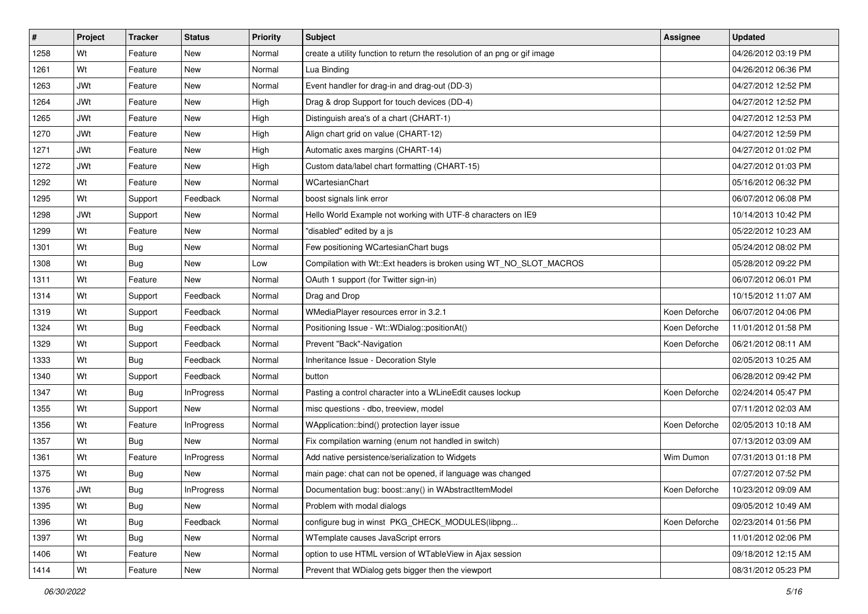| $\vert$ # | Project    | <b>Tracker</b> | <b>Status</b>     | <b>Priority</b> | Subject                                                                   | <b>Assignee</b> | <b>Updated</b>      |
|-----------|------------|----------------|-------------------|-----------------|---------------------------------------------------------------------------|-----------------|---------------------|
| 1258      | Wt         | Feature        | New               | Normal          | create a utility function to return the resolution of an png or gif image |                 | 04/26/2012 03:19 PM |
| 1261      | Wt         | Feature        | <b>New</b>        | Normal          | Lua Binding                                                               |                 | 04/26/2012 06:36 PM |
| 1263      | <b>JWt</b> | Feature        | New               | Normal          | Event handler for drag-in and drag-out (DD-3)                             |                 | 04/27/2012 12:52 PM |
| 1264      | JWt        | Feature        | <b>New</b>        | High            | Drag & drop Support for touch devices (DD-4)                              |                 | 04/27/2012 12:52 PM |
| 1265      | <b>JWt</b> | Feature        | New               | High            | Distinguish area's of a chart (CHART-1)                                   |                 | 04/27/2012 12:53 PM |
| 1270      | <b>JWt</b> | Feature        | <b>New</b>        | High            | Align chart grid on value (CHART-12)                                      |                 | 04/27/2012 12:59 PM |
| 1271      | <b>JWt</b> | Feature        | New               | High            | Automatic axes margins (CHART-14)                                         |                 | 04/27/2012 01:02 PM |
| 1272      | <b>JWt</b> | Feature        | New               | High            | Custom data/label chart formatting (CHART-15)                             |                 | 04/27/2012 01:03 PM |
| 1292      | Wt         | Feature        | <b>New</b>        | Normal          | WCartesianChart                                                           |                 | 05/16/2012 06:32 PM |
| 1295      | Wt         | Support        | Feedback          | Normal          | boost signals link error                                                  |                 | 06/07/2012 06:08 PM |
| 1298      | <b>JWt</b> | Support        | New               | Normal          | Hello World Example not working with UTF-8 characters on IE9              |                 | 10/14/2013 10:42 PM |
| 1299      | Wt         | Feature        | New               | Normal          | "disabled" edited by a js                                                 |                 | 05/22/2012 10:23 AM |
| 1301      | Wt         | <b>Bug</b>     | <b>New</b>        | Normal          | Few positioning WCartesianChart bugs                                      |                 | 05/24/2012 08:02 PM |
| 1308      | Wt         | Bug            | New               | Low             | Compilation with Wt::Ext headers is broken using WT_NO_SLOT_MACROS        |                 | 05/28/2012 09:22 PM |
| 1311      | Wt         | Feature        | <b>New</b>        | Normal          | OAuth 1 support (for Twitter sign-in)                                     |                 | 06/07/2012 06:01 PM |
| 1314      | Wt         | Support        | Feedback          | Normal          | Drag and Drop                                                             |                 | 10/15/2012 11:07 AM |
| 1319      | Wt         | Support        | Feedback          | Normal          | WMediaPlayer resources error in 3.2.1                                     | Koen Deforche   | 06/07/2012 04:06 PM |
| 1324      | Wt         | Bug            | Feedback          | Normal          | Positioning Issue - Wt:: WDialog:: positionAt()                           | Koen Deforche   | 11/01/2012 01:58 PM |
| 1329      | Wt         | Support        | Feedback          | Normal          | Prevent "Back"-Navigation                                                 | Koen Deforche   | 06/21/2012 08:11 AM |
| 1333      | Wt         | Bug            | Feedback          | Normal          | Inheritance Issue - Decoration Style                                      |                 | 02/05/2013 10:25 AM |
| 1340      | Wt         | Support        | Feedback          | Normal          | button                                                                    |                 | 06/28/2012 09:42 PM |
| 1347      | Wt         | Bug            | <b>InProgress</b> | Normal          | Pasting a control character into a WLineEdit causes lockup                | Koen Deforche   | 02/24/2014 05:47 PM |
| 1355      | Wt         | Support        | <b>New</b>        | Normal          | misc questions - dbo, treeview, model                                     |                 | 07/11/2012 02:03 AM |
| 1356      | Wt         | Feature        | <b>InProgress</b> | Normal          | WApplication::bind() protection layer issue                               | Koen Deforche   | 02/05/2013 10:18 AM |
| 1357      | Wt         | Bug            | <b>New</b>        | Normal          | Fix compilation warning (enum not handled in switch)                      |                 | 07/13/2012 03:09 AM |
| 1361      | Wt         | Feature        | InProgress        | Normal          | Add native persistence/serialization to Widgets                           | Wim Dumon       | 07/31/2013 01:18 PM |
| 1375      | Wt         | Bug            | New               | Normal          | main page: chat can not be opened, if language was changed                |                 | 07/27/2012 07:52 PM |
| 1376      | <b>JWt</b> | <b>Bug</b>     | InProgress        | Normal          | Documentation bug: boost::any() in WAbstractItemModel                     | Koen Deforche   | 10/23/2012 09:09 AM |
| 1395      | Wt         | <b>Bug</b>     | New               | Normal          | Problem with modal dialogs                                                |                 | 09/05/2012 10:49 AM |
| 1396      | Wt         | <b>Bug</b>     | Feedback          | Normal          | configure bug in winst PKG_CHECK_MODULES(libpng                           | Koen Deforche   | 02/23/2014 01:56 PM |
| 1397      | Wt         | Bug            | New               | Normal          | WTemplate causes JavaScript errors                                        |                 | 11/01/2012 02:06 PM |
| 1406      | Wt         | Feature        | New               | Normal          | option to use HTML version of WTableView in Ajax session                  |                 | 09/18/2012 12:15 AM |
| 1414      | Wt         | Feature        | New               | Normal          | Prevent that WDialog gets bigger then the viewport                        |                 | 08/31/2012 05:23 PM |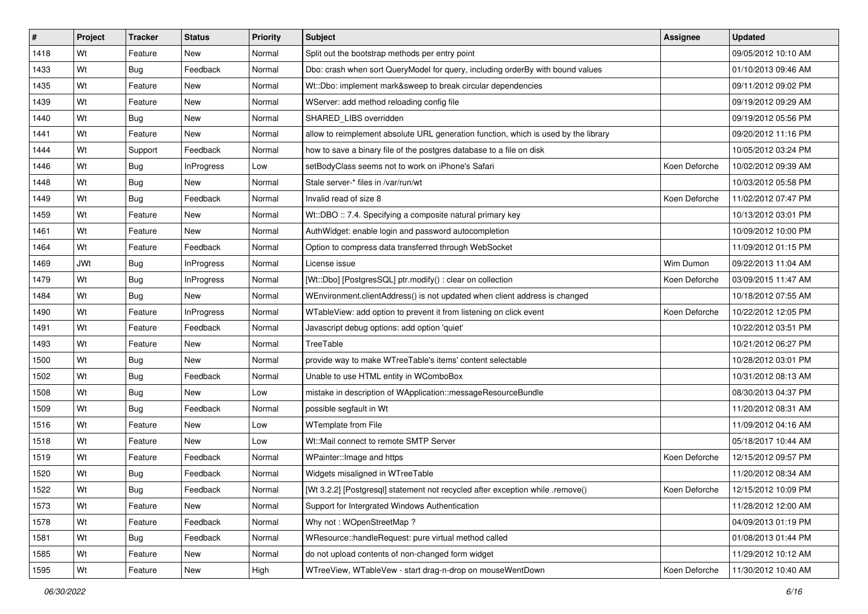| $\vert$ # | Project    | <b>Tracker</b> | <b>Status</b>     | <b>Priority</b> | <b>Subject</b>                                                                      | <b>Assignee</b> | <b>Updated</b>      |
|-----------|------------|----------------|-------------------|-----------------|-------------------------------------------------------------------------------------|-----------------|---------------------|
| 1418      | Wt         | Feature        | New               | Normal          | Split out the bootstrap methods per entry point                                     |                 | 09/05/2012 10:10 AM |
| 1433      | Wt         | Bug            | Feedback          | Normal          | Dbo: crash when sort QueryModel for query, including orderBy with bound values      |                 | 01/10/2013 09:46 AM |
| 1435      | Wt         | Feature        | New               | Normal          | Wt::Dbo: implement mark&sweep to break circular dependencies                        |                 | 09/11/2012 09:02 PM |
| 1439      | Wt         | Feature        | <b>New</b>        | Normal          | WServer: add method reloading config file                                           |                 | 09/19/2012 09:29 AM |
| 1440      | Wt         | Bug            | <b>New</b>        | Normal          | SHARED_LIBS overridden                                                              |                 | 09/19/2012 05:56 PM |
| 1441      | Wt         | Feature        | <b>New</b>        | Normal          | allow to reimplement absolute URL generation function, which is used by the library |                 | 09/20/2012 11:16 PM |
| 1444      | Wt         | Support        | Feedback          | Normal          | how to save a binary file of the postgres database to a file on disk                |                 | 10/05/2012 03:24 PM |
| 1446      | Wt         | <b>Bug</b>     | InProgress        | Low             | setBodyClass seems not to work on iPhone's Safari                                   | Koen Deforche   | 10/02/2012 09:39 AM |
| 1448      | Wt         | <b>Bug</b>     | New               | Normal          | Stale server-* files in /var/run/wt                                                 |                 | 10/03/2012 05:58 PM |
| 1449      | Wt         | <b>Bug</b>     | Feedback          | Normal          | Invalid read of size 8                                                              | Koen Deforche   | 11/02/2012 07:47 PM |
| 1459      | Wt         | Feature        | New               | Normal          | Wt::DBO :: 7.4. Specifying a composite natural primary key                          |                 | 10/13/2012 03:01 PM |
| 1461      | Wt         | Feature        | New               | Normal          | AuthWidget: enable login and password autocompletion                                |                 | 10/09/2012 10:00 PM |
| 1464      | Wt         | Feature        | Feedback          | Normal          | Option to compress data transferred through WebSocket                               |                 | 11/09/2012 01:15 PM |
| 1469      | <b>JWt</b> | <b>Bug</b>     | <b>InProgress</b> | Normal          | License issue                                                                       | Wim Dumon       | 09/22/2013 11:04 AM |
| 1479      | Wt         | <b>Bug</b>     | <b>InProgress</b> | Normal          | [Wt::Dbo] [PostgresSQL] ptr.modify() : clear on collection                          | Koen Deforche   | 03/09/2015 11:47 AM |
| 1484      | Wt         | Bug            | New               | Normal          | WEnvironment.clientAddress() is not updated when client address is changed          |                 | 10/18/2012 07:55 AM |
| 1490      | Wt         | Feature        | <b>InProgress</b> | Normal          | WTableView: add option to prevent it from listening on click event                  | Koen Deforche   | 10/22/2012 12:05 PM |
| 1491      | Wt         | Feature        | Feedback          | Normal          | Javascript debug options: add option 'quiet'                                        |                 | 10/22/2012 03:51 PM |
| 1493      | Wt         | Feature        | New               | Normal          | TreeTable                                                                           |                 | 10/21/2012 06:27 PM |
| 1500      | Wt         | <b>Bug</b>     | <b>New</b>        | Normal          | provide way to make WTreeTable's items' content selectable                          |                 | 10/28/2012 03:01 PM |
| 1502      | Wt         | <b>Bug</b>     | Feedback          | Normal          | Unable to use HTML entity in WComboBox                                              |                 | 10/31/2012 08:13 AM |
| 1508      | Wt         | <b>Bug</b>     | New               | Low             | mistake in description of WApplication::messageResourceBundle                       |                 | 08/30/2013 04:37 PM |
| 1509      | Wt         | Bug            | Feedback          | Normal          | possible segfault in Wt                                                             |                 | 11/20/2012 08:31 AM |
| 1516      | Wt         | Feature        | New               | Low             | WTemplate from File                                                                 |                 | 11/09/2012 04:16 AM |
| 1518      | Wt         | Feature        | New               | Low             | Wt::Mail connect to remote SMTP Server                                              |                 | 05/18/2017 10:44 AM |
| 1519      | Wt         | Feature        | Feedback          | Normal          | WPainter:: Image and https                                                          | Koen Deforche   | 12/15/2012 09:57 PM |
| 1520      | Wt         | Bug            | Feedback          | Normal          | Widgets misaligned in WTreeTable                                                    |                 | 11/20/2012 08:34 AM |
| 1522      | Wt         | Bug            | Feedback          | Normal          | [Wt 3.2.2] [Postgresql] statement not recycled after exception while .remove()      | Koen Deforche   | 12/15/2012 10:09 PM |
| 1573      | Wt         | Feature        | New               | Normal          | Support for Intergrated Windows Authentication                                      |                 | 11/28/2012 12:00 AM |
| 1578      | Wt         | Feature        | Feedback          | Normal          | Why not: WOpenStreetMap?                                                            |                 | 04/09/2013 01:19 PM |
| 1581      | Wt         | Bug            | Feedback          | Normal          | WResource::handleRequest: pure virtual method called                                |                 | 01/08/2013 01:44 PM |
| 1585      | Wt         | Feature        | New               | Normal          | do not upload contents of non-changed form widget                                   |                 | 11/29/2012 10:12 AM |
| 1595      | Wt         | Feature        | New               | High            | WTreeView, WTableVew - start drag-n-drop on mouseWentDown                           | Koen Deforche   | 11/30/2012 10:40 AM |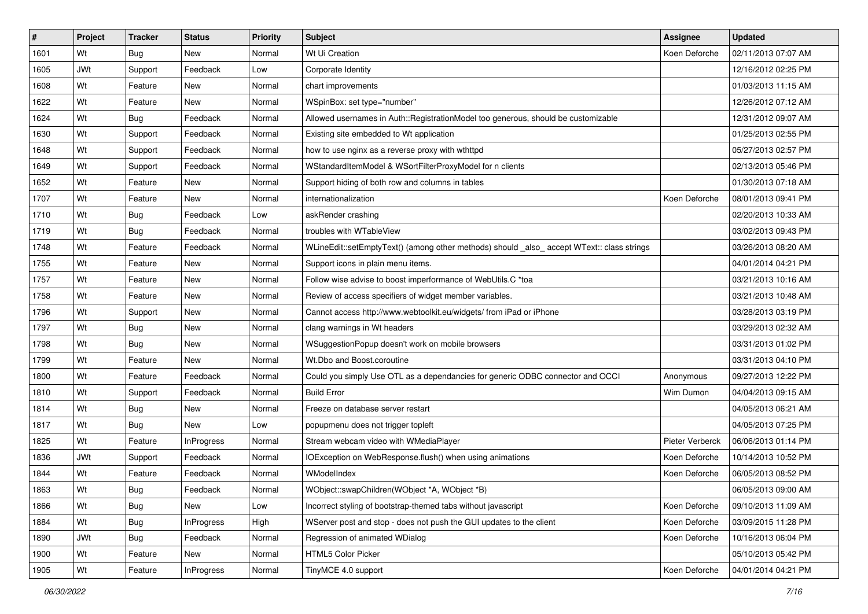| $\vert$ # | Project    | <b>Tracker</b> | <b>Status</b>     | <b>Priority</b> | Subject                                                                                    | <b>Assignee</b> | <b>Updated</b>      |
|-----------|------------|----------------|-------------------|-----------------|--------------------------------------------------------------------------------------------|-----------------|---------------------|
| 1601      | Wt         | <b>Bug</b>     | New               | Normal          | Wt Ui Creation                                                                             | Koen Deforche   | 02/11/2013 07:07 AM |
| 1605      | <b>JWt</b> | Support        | Feedback          | Low             | Corporate Identity                                                                         |                 | 12/16/2012 02:25 PM |
| 1608      | Wt         | Feature        | New               | Normal          | chart improvements                                                                         |                 | 01/03/2013 11:15 AM |
| 1622      | Wt         | Feature        | New               | Normal          | WSpinBox: set type="number"                                                                |                 | 12/26/2012 07:12 AM |
| 1624      | Wt         | Bug            | Feedback          | Normal          | Allowed usernames in Auth::RegistrationModel too generous, should be customizable          |                 | 12/31/2012 09:07 AM |
| 1630      | Wt         | Support        | Feedback          | Normal          | Existing site embedded to Wt application                                                   |                 | 01/25/2013 02:55 PM |
| 1648      | Wt         | Support        | Feedback          | Normal          | how to use nginx as a reverse proxy with wthttpd                                           |                 | 05/27/2013 02:57 PM |
| 1649      | Wt         | Support        | Feedback          | Normal          | WStandardItemModel & WSortFilterProxyModel for n clients                                   |                 | 02/13/2013 05:46 PM |
| 1652      | Wt         | Feature        | <b>New</b>        | Normal          | Support hiding of both row and columns in tables                                           |                 | 01/30/2013 07:18 AM |
| 1707      | Wt         | Feature        | New               | Normal          | internationalization                                                                       | Koen Deforche   | 08/01/2013 09:41 PM |
| 1710      | Wt         | Bug            | Feedback          | Low             | askRender crashing                                                                         |                 | 02/20/2013 10:33 AM |
| 1719      | Wt         | <b>Bug</b>     | Feedback          | Normal          | troubles with WTableView                                                                   |                 | 03/02/2013 09:43 PM |
| 1748      | Wt         | Feature        | Feedback          | Normal          | WLineEdit::setEmptyText() (among other methods) should _also_ accept WText:: class strings |                 | 03/26/2013 08:20 AM |
| 1755      | Wt         | Feature        | New               | Normal          | Support icons in plain menu items.                                                         |                 | 04/01/2014 04:21 PM |
| 1757      | Wt         | Feature        | New               | Normal          | Follow wise advise to boost imperformance of WebUtils.C *toa                               |                 | 03/21/2013 10:16 AM |
| 1758      | Wt         | Feature        | New               | Normal          | Review of access specifiers of widget member variables.                                    |                 | 03/21/2013 10:48 AM |
| 1796      | Wt         | Support        | New               | Normal          | Cannot access http://www.webtoolkit.eu/widgets/ from iPad or iPhone                        |                 | 03/28/2013 03:19 PM |
| 1797      | Wt         | Bug            | New               | Normal          | clang warnings in Wt headers                                                               |                 | 03/29/2013 02:32 AM |
| 1798      | Wt         | Bug            | New               | Normal          | WSuggestionPopup doesn't work on mobile browsers                                           |                 | 03/31/2013 01:02 PM |
| 1799      | Wt         | Feature        | <b>New</b>        | Normal          | Wt.Dbo and Boost.coroutine                                                                 |                 | 03/31/2013 04:10 PM |
| 1800      | Wt         | Feature        | Feedback          | Normal          | Could you simply Use OTL as a dependancies for generic ODBC connector and OCCI             | Anonymous       | 09/27/2013 12:22 PM |
| 1810      | Wt         | Support        | Feedback          | Normal          | <b>Build Error</b>                                                                         | Wim Dumon       | 04/04/2013 09:15 AM |
| 1814      | Wt         | Bug            | <b>New</b>        | Normal          | Freeze on database server restart                                                          |                 | 04/05/2013 06:21 AM |
| 1817      | Wt         | Bug            | New               | Low             | popupmenu does not trigger topleft                                                         |                 | 04/05/2013 07:25 PM |
| 1825      | Wt         | Feature        | <b>InProgress</b> | Normal          | Stream webcam video with WMediaPlayer                                                      | Pieter Verberck | 06/06/2013 01:14 PM |
| 1836      | <b>JWt</b> | Support        | Feedback          | Normal          | IOException on WebResponse.flush() when using animations                                   | Koen Deforche   | 10/14/2013 10:52 PM |
| 1844      | Wt         | Feature        | Feedback          | Normal          | WModelIndex                                                                                | Koen Deforche   | 06/05/2013 08:52 PM |
| 1863      | Wt         | Bug            | Feedback          | Normal          | WObject::swapChildren(WObject *A, WObject *B)                                              |                 | 06/05/2013 09:00 AM |
| 1866      | Wt         | <b>Bug</b>     | New               | Low             | Incorrect styling of bootstrap-themed tabs without javascript                              | Koen Deforche   | 09/10/2013 11:09 AM |
| 1884      | Wt         | <b>Bug</b>     | <b>InProgress</b> | High            | WServer post and stop - does not push the GUI updates to the client                        | Koen Deforche   | 03/09/2015 11:28 PM |
| 1890      | <b>JWt</b> | <b>Bug</b>     | Feedback          | Normal          | Regression of animated WDialog                                                             | Koen Deforche   | 10/16/2013 06:04 PM |
| 1900      | Wt         | Feature        | New               | Normal          | HTML5 Color Picker                                                                         |                 | 05/10/2013 05:42 PM |
| 1905      | Wt         | Feature        | <b>InProgress</b> | Normal          | TinyMCE 4.0 support                                                                        | Koen Deforche   | 04/01/2014 04:21 PM |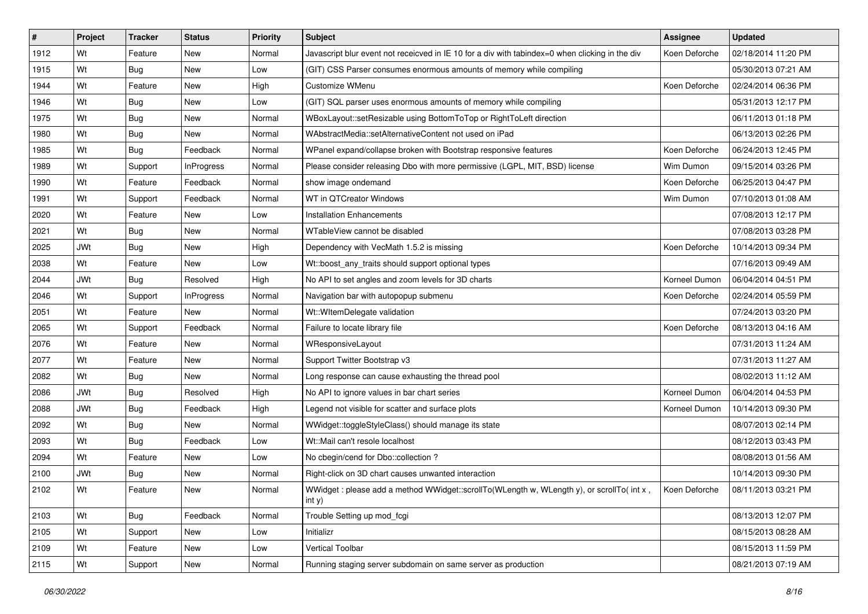| #    | Project    | <b>Tracker</b> | <b>Status</b>     | <b>Priority</b> | <b>Subject</b>                                                                                      | <b>Assignee</b> | <b>Updated</b>      |
|------|------------|----------------|-------------------|-----------------|-----------------------------------------------------------------------------------------------------|-----------------|---------------------|
| 1912 | Wt         | Feature        | New               | Normal          | Javascript blur event not receicved in IE 10 for a div with tabindex=0 when clicking in the div     | Koen Deforche   | 02/18/2014 11:20 PM |
| 1915 | Wt         | Bug            | <b>New</b>        | Low             | (GIT) CSS Parser consumes enormous amounts of memory while compiling                                |                 | 05/30/2013 07:21 AM |
| 1944 | Wt         | Feature        | New               | High            | Customize WMenu                                                                                     | Koen Deforche   | 02/24/2014 06:36 PM |
| 1946 | Wt         | <b>Bug</b>     | New               | Low             | (GIT) SQL parser uses enormous amounts of memory while compiling                                    |                 | 05/31/2013 12:17 PM |
| 1975 | Wt         | Bug            | <b>New</b>        | Normal          | WBoxLayout::setResizable using BottomToTop or RightToLeft direction                                 |                 | 06/11/2013 01:18 PM |
| 1980 | Wt         | <b>Bug</b>     | New               | Normal          | WAbstractMedia::setAlternativeContent not used on iPad                                              |                 | 06/13/2013 02:26 PM |
| 1985 | Wt         | <b>Bug</b>     | Feedback          | Normal          | WPanel expand/collapse broken with Bootstrap responsive features                                    | Koen Deforche   | 06/24/2013 12:45 PM |
| 1989 | Wt         | Support        | <b>InProgress</b> | Normal          | Please consider releasing Dbo with more permissive (LGPL, MIT, BSD) license                         | Wim Dumon       | 09/15/2014 03:26 PM |
| 1990 | Wt         | Feature        | Feedback          | Normal          | show image ondemand                                                                                 | Koen Deforche   | 06/25/2013 04:47 PM |
| 1991 | Wt         | Support        | Feedback          | Normal          | WT in QTCreator Windows                                                                             | Wim Dumon       | 07/10/2013 01:08 AM |
| 2020 | Wt         | Feature        | New               | Low             | <b>Installation Enhancements</b>                                                                    |                 | 07/08/2013 12:17 PM |
| 2021 | Wt         | <b>Bug</b>     | New               | Normal          | WTableView cannot be disabled                                                                       |                 | 07/08/2013 03:28 PM |
| 2025 | JWt        | <b>Bug</b>     | <b>New</b>        | High            | Dependency with VecMath 1.5.2 is missing                                                            | Koen Deforche   | 10/14/2013 09:34 PM |
| 2038 | Wt         | Feature        | New               | Low             | Wt::boost_any_traits should support optional types                                                  |                 | 07/16/2013 09:49 AM |
| 2044 | <b>JWt</b> | <b>Bug</b>     | Resolved          | High            | No API to set angles and zoom levels for 3D charts                                                  | Korneel Dumon   | 06/04/2014 04:51 PM |
| 2046 | Wt         | Support        | <b>InProgress</b> | Normal          | Navigation bar with autopopup submenu                                                               | Koen Deforche   | 02/24/2014 05:59 PM |
| 2051 | Wt         | Feature        | <b>New</b>        | Normal          | Wt::WItemDelegate validation                                                                        |                 | 07/24/2013 03:20 PM |
| 2065 | Wt         | Support        | Feedback          | Normal          | Failure to locate library file                                                                      | Koen Deforche   | 08/13/2013 04:16 AM |
| 2076 | Wt         | Feature        | New               | Normal          | WResponsiveLayout                                                                                   |                 | 07/31/2013 11:24 AM |
| 2077 | Wt         | Feature        | New               | Normal          | Support Twitter Bootstrap v3                                                                        |                 | 07/31/2013 11:27 AM |
| 2082 | Wt         | <b>Bug</b>     | New               | Normal          | Long response can cause exhausting the thread pool                                                  |                 | 08/02/2013 11:12 AM |
| 2086 | <b>JWt</b> | <b>Bug</b>     | Resolved          | High            | No API to ignore values in bar chart series                                                         | Korneel Dumon   | 06/04/2014 04:53 PM |
| 2088 | <b>JWt</b> | <b>Bug</b>     | Feedback          | High            | Legend not visible for scatter and surface plots                                                    | Korneel Dumon   | 10/14/2013 09:30 PM |
| 2092 | Wt         | <b>Bug</b>     | New               | Normal          | WWidget::toggleStyleClass() should manage its state                                                 |                 | 08/07/2013 02:14 PM |
| 2093 | Wt         | <b>Bug</b>     | Feedback          | Low             | Wt::Mail can't resole localhost                                                                     |                 | 08/12/2013 03:43 PM |
| 2094 | Wt         | Feature        | <b>New</b>        | Low             | No cbegin/cend for Dbo::collection ?                                                                |                 | 08/08/2013 01:56 AM |
| 2100 | <b>JWt</b> | <b>Bug</b>     | New               | Normal          | Right-click on 3D chart causes unwanted interaction                                                 |                 | 10/14/2013 09:30 PM |
| 2102 | Wt         | Feature        | New               | Normal          | WWidget: please add a method WWidget::scrollTo(WLength w, WLength y), or scrollTo( int x,<br>int y) | Koen Deforche   | 08/11/2013 03:21 PM |
| 2103 | Wt         | Bug            | Feedback          | Normal          | Trouble Setting up mod fcgi                                                                         |                 | 08/13/2013 12:07 PM |
| 2105 | Wt         | Support        | New               | Low             | Initializr                                                                                          |                 | 08/15/2013 08:28 AM |
| 2109 | Wt         | Feature        | New               | Low             | Vertical Toolbar                                                                                    |                 | 08/15/2013 11:59 PM |
| 2115 | Wt         | Support        | New               | Normal          | Running staging server subdomain on same server as production                                       |                 | 08/21/2013 07:19 AM |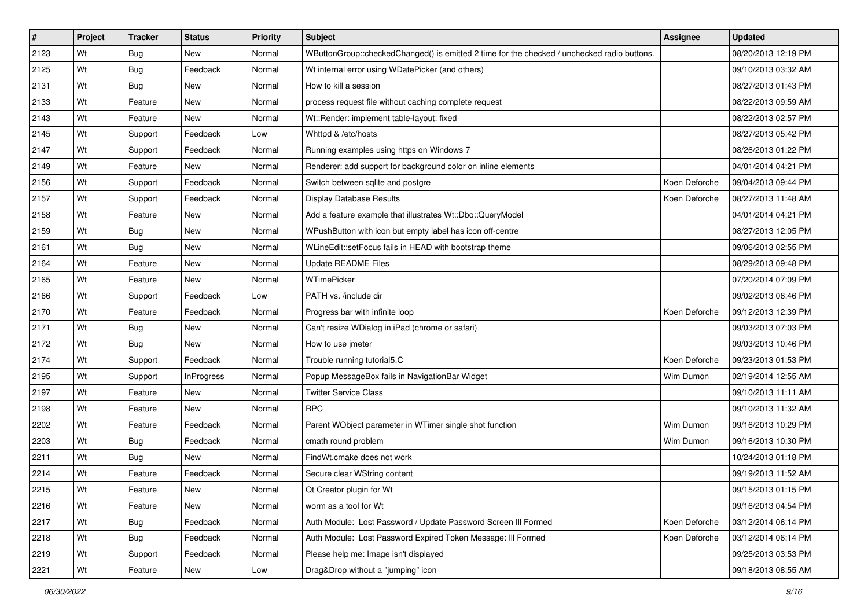| #    | Project | <b>Tracker</b> | <b>Status</b>     | <b>Priority</b> | <b>Subject</b>                                                                              | <b>Assignee</b> | <b>Updated</b>      |
|------|---------|----------------|-------------------|-----------------|---------------------------------------------------------------------------------------------|-----------------|---------------------|
| 2123 | Wt      | <b>Bug</b>     | <b>New</b>        | Normal          | WButtonGroup::checkedChanged() is emitted 2 time for the checked / unchecked radio buttons. |                 | 08/20/2013 12:19 PM |
| 2125 | Wt      | <b>Bug</b>     | Feedback          | Normal          | Wt internal error using WDatePicker (and others)                                            |                 | 09/10/2013 03:32 AM |
| 2131 | Wt      | <b>Bug</b>     | New               | Normal          | How to kill a session                                                                       |                 | 08/27/2013 01:43 PM |
| 2133 | Wt      | Feature        | <b>New</b>        | Normal          | process request file without caching complete request                                       |                 | 08/22/2013 09:59 AM |
| 2143 | Wt      | Feature        | New               | Normal          | Wt::Render: implement table-layout: fixed                                                   |                 | 08/22/2013 02:57 PM |
| 2145 | Wt      | Support        | Feedback          | Low             | Whttpd & /etc/hosts                                                                         |                 | 08/27/2013 05:42 PM |
| 2147 | Wt      | Support        | Feedback          | Normal          | Running examples using https on Windows 7                                                   |                 | 08/26/2013 01:22 PM |
| 2149 | Wt      | Feature        | <b>New</b>        | Normal          | Renderer: add support for background color on inline elements                               |                 | 04/01/2014 04:21 PM |
| 2156 | Wt      | Support        | Feedback          | Normal          | Switch between sqlite and postgre                                                           | Koen Deforche   | 09/04/2013 09:44 PM |
| 2157 | Wt      | Support        | Feedback          | Normal          | <b>Display Database Results</b>                                                             | Koen Deforche   | 08/27/2013 11:48 AM |
| 2158 | Wt      | Feature        | New               | Normal          | Add a feature example that illustrates Wt::Dbo::QueryModel                                  |                 | 04/01/2014 04:21 PM |
| 2159 | Wt      | <b>Bug</b>     | <b>New</b>        | Normal          | WPushButton with icon but empty label has icon off-centre                                   |                 | 08/27/2013 12:05 PM |
| 2161 | Wt      | Bug            | <b>New</b>        | Normal          | WLineEdit::setFocus fails in HEAD with bootstrap theme                                      |                 | 09/06/2013 02:55 PM |
| 2164 | Wt      | Feature        | New               | Normal          | <b>Update README Files</b>                                                                  |                 | 08/29/2013 09:48 PM |
| 2165 | Wt      | Feature        | <b>New</b>        | Normal          | <b>WTimePicker</b>                                                                          |                 | 07/20/2014 07:09 PM |
| 2166 | Wt      | Support        | Feedback          | Low             | PATH vs. /include dir                                                                       |                 | 09/02/2013 06:46 PM |
| 2170 | Wt      | Feature        | Feedback          | Normal          | Progress bar with infinite loop                                                             | Koen Deforche   | 09/12/2013 12:39 PM |
| 2171 | Wt      | <b>Bug</b>     | New               | Normal          | Can't resize WDialog in iPad (chrome or safari)                                             |                 | 09/03/2013 07:03 PM |
| 2172 | Wt      | <b>Bug</b>     | <b>New</b>        | Normal          | How to use jmeter                                                                           |                 | 09/03/2013 10:46 PM |
| 2174 | Wt      | Support        | Feedback          | Normal          | Trouble running tutorial5.C                                                                 | Koen Deforche   | 09/23/2013 01:53 PM |
| 2195 | Wt      | Support        | <b>InProgress</b> | Normal          | Popup MessageBox fails in NavigationBar Widget                                              | Wim Dumon       | 02/19/2014 12:55 AM |
| 2197 | Wt      | Feature        | New               | Normal          | <b>Twitter Service Class</b>                                                                |                 | 09/10/2013 11:11 AM |
| 2198 | Wt      | Feature        | New               | Normal          | <b>RPC</b>                                                                                  |                 | 09/10/2013 11:32 AM |
| 2202 | Wt      | Feature        | Feedback          | Normal          | Parent WObject parameter in WTimer single shot function                                     | Wim Dumon       | 09/16/2013 10:29 PM |
| 2203 | Wt      | <b>Bug</b>     | Feedback          | Normal          | cmath round problem                                                                         | Wim Dumon       | 09/16/2013 10:30 PM |
| 2211 | Wt      | Bug            | <b>New</b>        | Normal          | FindWt.cmake does not work                                                                  |                 | 10/24/2013 01:18 PM |
| 2214 | Wt      | Feature        | Feedback          | Normal          | Secure clear WString content                                                                |                 | 09/19/2013 11:52 AM |
| 2215 | Wt      | Feature        | New               | Normal          | Qt Creator plugin for Wt                                                                    |                 | 09/15/2013 01:15 PM |
| 2216 | Wt      | Feature        | New               | Normal          | worm as a tool for Wt                                                                       |                 | 09/16/2013 04:54 PM |
| 2217 | Wt      | <b>Bug</b>     | Feedback          | Normal          | Auth Module: Lost Password / Update Password Screen III Formed                              | Koen Deforche   | 03/12/2014 06:14 PM |
| 2218 | Wt      | Bug            | Feedback          | Normal          | Auth Module: Lost Password Expired Token Message: III Formed                                | Koen Deforche   | 03/12/2014 06:14 PM |
| 2219 | Wt      | Support        | Feedback          | Normal          | Please help me: Image isn't displayed                                                       |                 | 09/25/2013 03:53 PM |
| 2221 | Wt      | Feature        | New               | Low             | Drag&Drop without a "jumping" icon                                                          |                 | 09/18/2013 08:55 AM |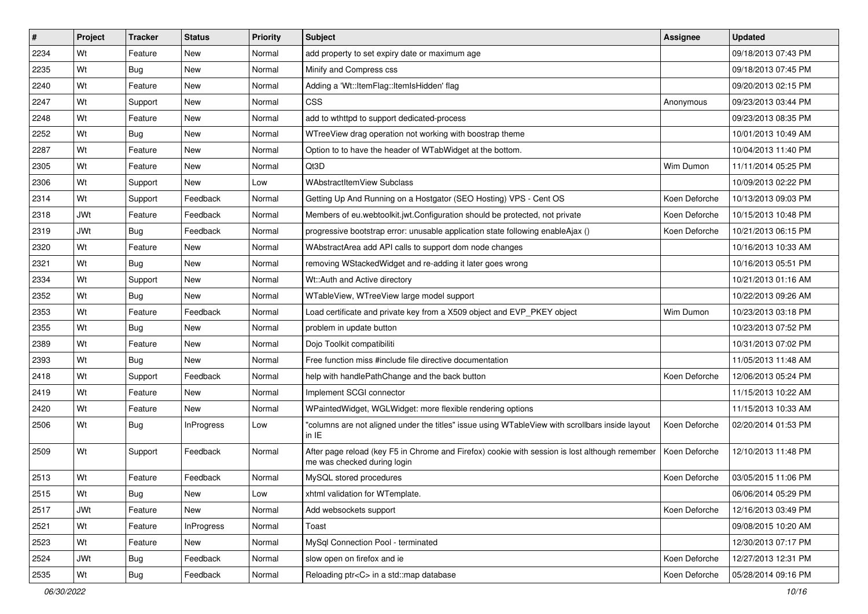| $\vert$ # | Project    | <b>Tracker</b> | <b>Status</b>     | <b>Priority</b> | Subject                                                                                                                       | <b>Assignee</b> | <b>Updated</b>      |
|-----------|------------|----------------|-------------------|-----------------|-------------------------------------------------------------------------------------------------------------------------------|-----------------|---------------------|
| 2234      | Wt         | Feature        | New               | Normal          | add property to set expiry date or maximum age                                                                                |                 | 09/18/2013 07:43 PM |
| 2235      | Wt         | Bug            | New               | Normal          | Minify and Compress css                                                                                                       |                 | 09/18/2013 07:45 PM |
| 2240      | Wt         | Feature        | New               | Normal          | Adding a 'Wt::ItemFlag::ItemIsHidden' flag                                                                                    |                 | 09/20/2013 02:15 PM |
| 2247      | Wt         | Support        | <b>New</b>        | Normal          | <b>CSS</b>                                                                                                                    | Anonymous       | 09/23/2013 03:44 PM |
| 2248      | Wt         | Feature        | New               | Normal          | add to wthttpd to support dedicated-process                                                                                   |                 | 09/23/2013 08:35 PM |
| 2252      | Wt         | Bug            | New               | Normal          | WTreeView drag operation not working with boostrap theme                                                                      |                 | 10/01/2013 10:49 AM |
| 2287      | Wt         | Feature        | New               | Normal          | Option to to have the header of WTabWidget at the bottom.                                                                     |                 | 10/04/2013 11:40 PM |
| 2305      | Wt         | Feature        | New               | Normal          | Qt3D                                                                                                                          | Wim Dumon       | 11/11/2014 05:25 PM |
| 2306      | Wt         | Support        | New               | Low             | <b>WAbstractItemView Subclass</b>                                                                                             |                 | 10/09/2013 02:22 PM |
| 2314      | Wt         | Support        | Feedback          | Normal          | Getting Up And Running on a Hostgator (SEO Hosting) VPS - Cent OS                                                             | Koen Deforche   | 10/13/2013 09:03 PM |
| 2318      | <b>JWt</b> | Feature        | Feedback          | Normal          | Members of eu.webtoolkit.jwt.Configuration should be protected, not private                                                   | Koen Deforche   | 10/15/2013 10:48 PM |
| 2319      | <b>JWt</b> | Bug            | Feedback          | Normal          | progressive bootstrap error: unusable application state following enableAjax ()                                               | Koen Deforche   | 10/21/2013 06:15 PM |
| 2320      | Wt         | Feature        | <b>New</b>        | Normal          | WAbstractArea add API calls to support dom node changes                                                                       |                 | 10/16/2013 10:33 AM |
| 2321      | Wt         | <b>Bug</b>     | New               | Normal          | removing WStackedWidget and re-adding it later goes wrong                                                                     |                 | 10/16/2013 05:51 PM |
| 2334      | Wt         | Support        | <b>New</b>        | Normal          | Wt::Auth and Active directory                                                                                                 |                 | 10/21/2013 01:16 AM |
| 2352      | Wt         | <b>Bug</b>     | New               | Normal          | WTableView, WTreeView large model support                                                                                     |                 | 10/22/2013 09:26 AM |
| 2353      | Wt         | Feature        | Feedback          | Normal          | Load certificate and private key from a X509 object and EVP_PKEY object                                                       | Wim Dumon       | 10/23/2013 03:18 PM |
| 2355      | Wt         | Bug            | New               | Normal          | problem in update button                                                                                                      |                 | 10/23/2013 07:52 PM |
| 2389      | Wt         | Feature        | New               | Normal          | Dojo Toolkit compatibiliti                                                                                                    |                 | 10/31/2013 07:02 PM |
| 2393      | Wt         | Bug            | <b>New</b>        | Normal          | Free function miss #include file directive documentation                                                                      |                 | 11/05/2013 11:48 AM |
| 2418      | Wt         | Support        | Feedback          | Normal          | help with handlePathChange and the back button                                                                                | Koen Deforche   | 12/06/2013 05:24 PM |
| 2419      | Wt         | Feature        | New               | Normal          | Implement SCGI connector                                                                                                      |                 | 11/15/2013 10:22 AM |
| 2420      | Wt         | Feature        | New               | Normal          | WPaintedWidget, WGLWidget: more flexible rendering options                                                                    |                 | 11/15/2013 10:33 AM |
| 2506      | Wt         | <b>Bug</b>     | <b>InProgress</b> | Low             | "columns are not aligned under the titles" issue using WTableView with scrollbars inside layout<br>in IE                      | Koen Deforche   | 02/20/2014 01:53 PM |
| 2509      | Wt         | Support        | Feedback          | Normal          | After page reload (key F5 in Chrome and Firefox) cookie with session is lost although remember<br>me was checked during login | Koen Deforche   | 12/10/2013 11:48 PM |
| 2513      | Wt         | Feature        | Feedback          | Normal          | MySQL stored procedures                                                                                                       | Koen Deforche   | 03/05/2015 11:06 PM |
| 2515      | Wt         | Bug            | New               | Low             | xhtml validation for WTemplate.                                                                                               |                 | 06/06/2014 05:29 PM |
| 2517      | <b>JWt</b> | Feature        | New               | Normal          | Add websockets support                                                                                                        | Koen Deforche   | 12/16/2013 03:49 PM |
| 2521      | Wt         | Feature        | InProgress        | Normal          | Toast                                                                                                                         |                 | 09/08/2015 10:20 AM |
| 2523      | Wt         | Feature        | New               | Normal          | MySal Connection Pool - terminated                                                                                            |                 | 12/30/2013 07:17 PM |
| 2524      | <b>JWt</b> | <b>Bug</b>     | Feedback          | Normal          | slow open on firefox and ie                                                                                                   | Koen Deforche   | 12/27/2013 12:31 PM |
| 2535      | Wt         | <b>Bug</b>     | Feedback          | Normal          | Reloading ptr <c> in a std::map database</c>                                                                                  | Koen Deforche   | 05/28/2014 09:16 PM |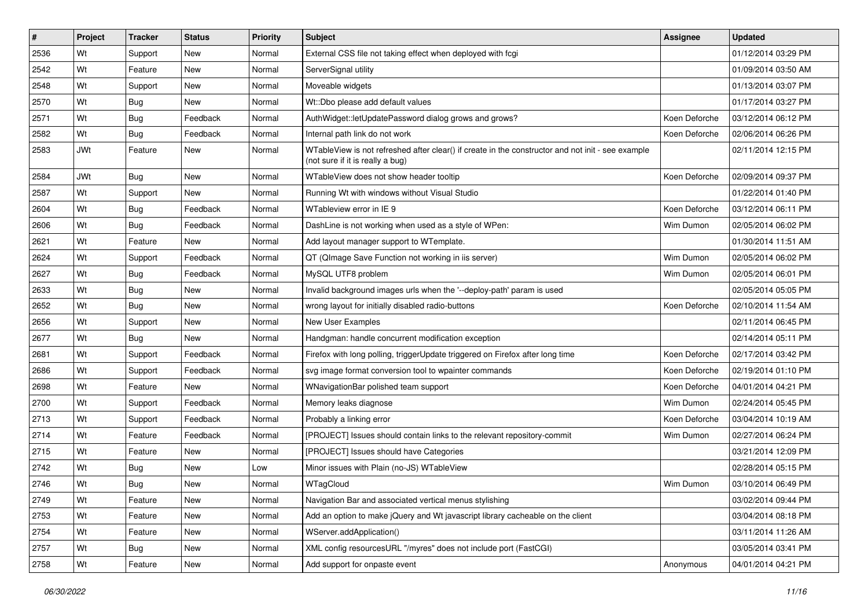| $\vert$ # | Project    | <b>Tracker</b> | <b>Status</b> | <b>Priority</b> | Subject                                                                                                                               | <b>Assignee</b> | <b>Updated</b>      |
|-----------|------------|----------------|---------------|-----------------|---------------------------------------------------------------------------------------------------------------------------------------|-----------------|---------------------|
| 2536      | Wt         | Support        | New           | Normal          | External CSS file not taking effect when deployed with fcgi                                                                           |                 | 01/12/2014 03:29 PM |
| 2542      | Wt         | Feature        | <b>New</b>    | Normal          | ServerSignal utility                                                                                                                  |                 | 01/09/2014 03:50 AM |
| 2548      | Wt         | Support        | New           | Normal          | Moveable widgets                                                                                                                      |                 | 01/13/2014 03:07 PM |
| 2570      | Wt         | <b>Bug</b>     | New           | Normal          | Wt::Dbo please add default values                                                                                                     |                 | 01/17/2014 03:27 PM |
| 2571      | Wt         | Bug            | Feedback      | Normal          | AuthWidget::letUpdatePassword dialog grows and grows?                                                                                 | Koen Deforche   | 03/12/2014 06:12 PM |
| 2582      | Wt         | <b>Bug</b>     | Feedback      | Normal          | Internal path link do not work                                                                                                        | Koen Deforche   | 02/06/2014 06:26 PM |
| 2583      | <b>JWt</b> | Feature        | <b>New</b>    | Normal          | WTableView is not refreshed after clear() if create in the constructor and not init - see example<br>(not sure if it is really a bug) |                 | 02/11/2014 12:15 PM |
| 2584      | <b>JWt</b> | Bug            | <b>New</b>    | Normal          | WTableView does not show header tooltip                                                                                               | Koen Deforche   | 02/09/2014 09:37 PM |
| 2587      | Wt         | Support        | New           | Normal          | Running Wt with windows without Visual Studio                                                                                         |                 | 01/22/2014 01:40 PM |
| 2604      | Wt         | Bug            | Feedback      | Normal          | WTableview error in IE 9                                                                                                              | Koen Deforche   | 03/12/2014 06:11 PM |
| 2606      | Wt         | <b>Bug</b>     | Feedback      | Normal          | DashLine is not working when used as a style of WPen:                                                                                 | Wim Dumon       | 02/05/2014 06:02 PM |
| 2621      | Wt         | Feature        | <b>New</b>    | Normal          | Add layout manager support to WTemplate.                                                                                              |                 | 01/30/2014 11:51 AM |
| 2624      | Wt         | Support        | Feedback      | Normal          | QT (QImage Save Function not working in iis server)                                                                                   | Wim Dumon       | 02/05/2014 06:02 PM |
| 2627      | Wt         | <b>Bug</b>     | Feedback      | Normal          | MySQL UTF8 problem                                                                                                                    | Wim Dumon       | 02/05/2014 06:01 PM |
| 2633      | Wt         | <b>Bug</b>     | New           | Normal          | Invalid background images urls when the '--deploy-path' param is used                                                                 |                 | 02/05/2014 05:05 PM |
| 2652      | Wt         | <b>Bug</b>     | New           | Normal          | wrong layout for initially disabled radio-buttons                                                                                     | Koen Deforche   | 02/10/2014 11:54 AM |
| 2656      | Wt         | Support        | <b>New</b>    | Normal          | New User Examples                                                                                                                     |                 | 02/11/2014 06:45 PM |
| 2677      | Wt         | Bug            | New           | Normal          | Handgman: handle concurrent modification exception                                                                                    |                 | 02/14/2014 05:11 PM |
| 2681      | Wt         | Support        | Feedback      | Normal          | Firefox with long polling, triggerUpdate triggered on Firefox after long time                                                         | Koen Deforche   | 02/17/2014 03:42 PM |
| 2686      | Wt         | Support        | Feedback      | Normal          | svg image format conversion tool to wpainter commands                                                                                 | Koen Deforche   | 02/19/2014 01:10 PM |
| 2698      | Wt         | Feature        | <b>New</b>    | Normal          | WNavigationBar polished team support                                                                                                  | Koen Deforche   | 04/01/2014 04:21 PM |
| 2700      | Wt         | Support        | Feedback      | Normal          | Memory leaks diagnose                                                                                                                 | Wim Dumon       | 02/24/2014 05:45 PM |
| 2713      | Wt         | Support        | Feedback      | Normal          | Probably a linking error                                                                                                              | Koen Deforche   | 03/04/2014 10:19 AM |
| 2714      | Wt         | Feature        | Feedback      | Normal          | [PROJECT] Issues should contain links to the relevant repository-commit                                                               | Wim Dumon       | 02/27/2014 06:24 PM |
| 2715      | Wt         | Feature        | <b>New</b>    | Normal          | [PROJECT] Issues should have Categories                                                                                               |                 | 03/21/2014 12:09 PM |
| 2742      | Wt         | <b>Bug</b>     | New           | Low             | Minor issues with Plain (no-JS) WTableView                                                                                            |                 | 02/28/2014 05:15 PM |
| 2746      | Wt         | <b>Bug</b>     | New           | Normal          | WTagCloud                                                                                                                             | Wim Dumon       | 03/10/2014 06:49 PM |
| 2749      | Wt         | Feature        | New           | Normal          | Navigation Bar and associated vertical menus stylishing                                                                               |                 | 03/02/2014 09:44 PM |
| 2753      | Wt         | Feature        | New           | Normal          | Add an option to make jQuery and Wt javascript library cacheable on the client                                                        |                 | 03/04/2014 08:18 PM |
| 2754      | Wt         | Feature        | New           | Normal          | WServer.addApplication()                                                                                                              |                 | 03/11/2014 11:26 AM |
| 2757      | Wt         | <b>Bug</b>     | New           | Normal          | XML config resourcesURL "/myres" does not include port (FastCGI)                                                                      |                 | 03/05/2014 03:41 PM |
| 2758      | Wt         | Feature        | New           | Normal          | Add support for onpaste event                                                                                                         | Anonymous       | 04/01/2014 04:21 PM |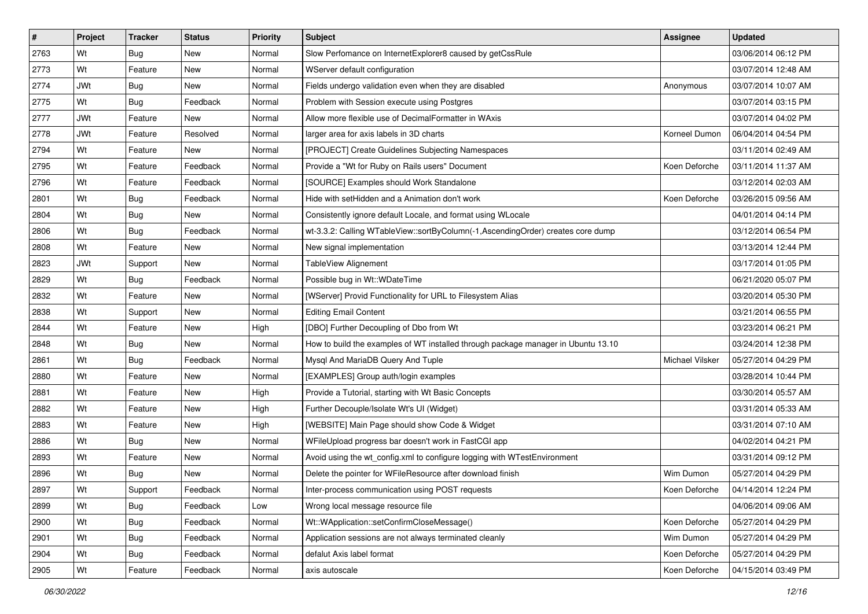| $\sharp$ | Project    | <b>Tracker</b> | <b>Status</b> | <b>Priority</b> | Subject                                                                           | <b>Assignee</b> | <b>Updated</b>      |
|----------|------------|----------------|---------------|-----------------|-----------------------------------------------------------------------------------|-----------------|---------------------|
| 2763     | Wt         | <b>Bug</b>     | New           | Normal          | Slow Perfomance on InternetExplorer8 caused by getCssRule                         |                 | 03/06/2014 06:12 PM |
| 2773     | Wt         | Feature        | New           | Normal          | WServer default configuration                                                     |                 | 03/07/2014 12:48 AM |
| 2774     | <b>JWt</b> | <b>Bug</b>     | New           | Normal          | Fields undergo validation even when they are disabled                             | Anonymous       | 03/07/2014 10:07 AM |
| 2775     | Wt         | <b>Bug</b>     | Feedback      | Normal          | Problem with Session execute using Postgres                                       |                 | 03/07/2014 03:15 PM |
| 2777     | <b>JWt</b> | Feature        | New           | Normal          | Allow more flexible use of DecimalFormatter in WAxis                              |                 | 03/07/2014 04:02 PM |
| 2778     | <b>JWt</b> | Feature        | Resolved      | Normal          | larger area for axis labels in 3D charts                                          | Korneel Dumon   | 06/04/2014 04:54 PM |
| 2794     | Wt         | Feature        | New           | Normal          | [PROJECT] Create Guidelines Subjecting Namespaces                                 |                 | 03/11/2014 02:49 AM |
| 2795     | Wt         | Feature        | Feedback      | Normal          | Provide a "Wt for Ruby on Rails users" Document                                   | Koen Deforche   | 03/11/2014 11:37 AM |
| 2796     | Wt         | Feature        | Feedback      | Normal          | [SOURCE] Examples should Work Standalone                                          |                 | 03/12/2014 02:03 AM |
| 2801     | Wt         | <b>Bug</b>     | Feedback      | Normal          | Hide with setHidden and a Animation don't work                                    | Koen Deforche   | 03/26/2015 09:56 AM |
| 2804     | Wt         | Bug            | New           | Normal          | Consistently ignore default Locale, and format using WLocale                      |                 | 04/01/2014 04:14 PM |
| 2806     | Wt         | <b>Bug</b>     | Feedback      | Normal          | wt-3.3.2: Calling WTableView::sortByColumn(-1,AscendingOrder) creates core dump   |                 | 03/12/2014 06:54 PM |
| 2808     | Wt         | Feature        | New           | Normal          | New signal implementation                                                         |                 | 03/13/2014 12:44 PM |
| 2823     | <b>JWt</b> | Support        | New           | Normal          | TableView Alignement                                                              |                 | 03/17/2014 01:05 PM |
| 2829     | Wt         | Bug            | Feedback      | Normal          | Possible bug in Wt:: WDateTime                                                    |                 | 06/21/2020 05:07 PM |
| 2832     | Wt         | Feature        | New           | Normal          | [WServer] Provid Functionality for URL to Filesystem Alias                        |                 | 03/20/2014 05:30 PM |
| 2838     | Wt         | Support        | New           | Normal          | <b>Editing Email Content</b>                                                      |                 | 03/21/2014 06:55 PM |
| 2844     | Wt         | Feature        | New           | High            | [DBO] Further Decoupling of Dbo from Wt                                           |                 | 03/23/2014 06:21 PM |
| 2848     | Wt         | <b>Bug</b>     | New           | Normal          | How to build the examples of WT installed through package manager in Ubuntu 13.10 |                 | 03/24/2014 12:38 PM |
| 2861     | Wt         | <b>Bug</b>     | Feedback      | Normal          | Mysql And MariaDB Query And Tuple                                                 | Michael Vilsker | 05/27/2014 04:29 PM |
| 2880     | Wt         | Feature        | New           | Normal          | [EXAMPLES] Group auth/login examples                                              |                 | 03/28/2014 10:44 PM |
| 2881     | Wt         | Feature        | <b>New</b>    | High            | Provide a Tutorial, starting with Wt Basic Concepts                               |                 | 03/30/2014 05:57 AM |
| 2882     | Wt         | Feature        | New           | High            | Further Decouple/Isolate Wt's UI (Widget)                                         |                 | 03/31/2014 05:33 AM |
| 2883     | Wt         | Feature        | New           | High            | [WEBSITE] Main Page should show Code & Widget                                     |                 | 03/31/2014 07:10 AM |
| 2886     | Wt         | Bug            | New           | Normal          | WFileUpload progress bar doesn't work in FastCGI app                              |                 | 04/02/2014 04:21 PM |
| 2893     | Wt         | Feature        | New           | Normal          | Avoid using the wt_config.xml to configure logging with WTestEnvironment          |                 | 03/31/2014 09:12 PM |
| 2896     | Wt         | <b>Bug</b>     | New           | Normal          | Delete the pointer for WFileResource after download finish                        | Wim Dumon       | 05/27/2014 04:29 PM |
| 2897     | Wt         | Support        | Feedback      | Normal          | Inter-process communication using POST requests                                   | Koen Deforche   | 04/14/2014 12:24 PM |
| 2899     | Wt         | Bug            | Feedback      | Low             | Wrong local message resource file                                                 |                 | 04/06/2014 09:06 AM |
| 2900     | Wt         | <b>Bug</b>     | Feedback      | Normal          | Wt::WApplication::setConfirmCloseMessage()                                        | Koen Deforche   | 05/27/2014 04:29 PM |
| 2901     | Wt         | Bug            | Feedback      | Normal          | Application sessions are not always terminated cleanly                            | Wim Dumon       | 05/27/2014 04:29 PM |
| 2904     | Wt         | <b>Bug</b>     | Feedback      | Normal          | defalut Axis label format                                                         | Koen Deforche   | 05/27/2014 04:29 PM |
| 2905     | Wt         | Feature        | Feedback      | Normal          | axis autoscale                                                                    | Koen Deforche   | 04/15/2014 03:49 PM |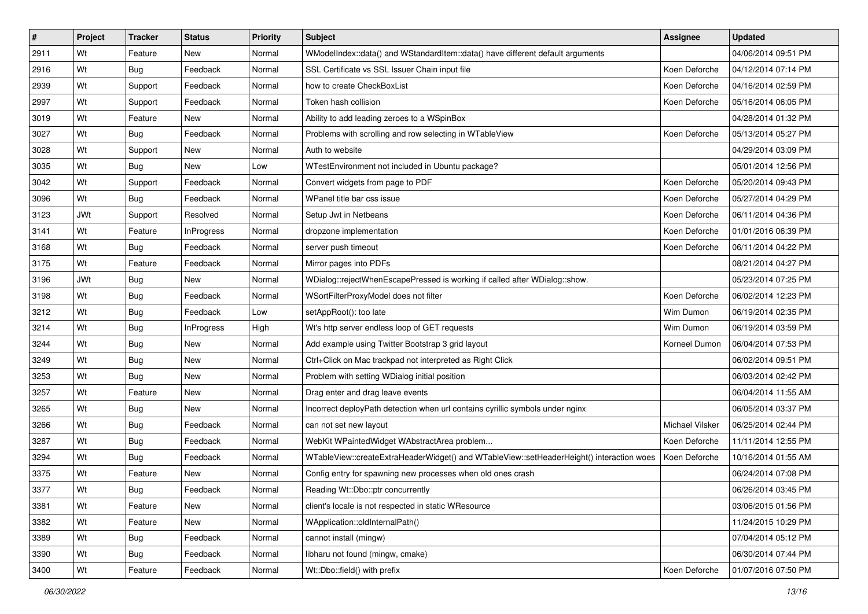| #    | Project    | <b>Tracker</b> | <b>Status</b>     | <b>Priority</b> | Subject                                                                                  | <b>Assignee</b> | <b>Updated</b>      |
|------|------------|----------------|-------------------|-----------------|------------------------------------------------------------------------------------------|-----------------|---------------------|
| 2911 | Wt         | Feature        | <b>New</b>        | Normal          | WModelIndex::data() and WStandardItem::data() have different default arguments           |                 | 04/06/2014 09:51 PM |
| 2916 | Wt         | Bug            | Feedback          | Normal          | SSL Certificate vs SSL Issuer Chain input file                                           | Koen Deforche   | 04/12/2014 07:14 PM |
| 2939 | Wt         | Support        | Feedback          | Normal          | how to create CheckBoxList                                                               | Koen Deforche   | 04/16/2014 02:59 PM |
| 2997 | Wt         | Support        | Feedback          | Normal          | Token hash collision                                                                     | Koen Deforche   | 05/16/2014 06:05 PM |
| 3019 | Wt         | Feature        | New               | Normal          | Ability to add leading zeroes to a WSpinBox                                              |                 | 04/28/2014 01:32 PM |
| 3027 | Wt         | Bug            | Feedback          | Normal          | Problems with scrolling and row selecting in WTableView                                  | Koen Deforche   | 05/13/2014 05:27 PM |
| 3028 | Wt         | Support        | New               | Normal          | Auth to website                                                                          |                 | 04/29/2014 03:09 PM |
| 3035 | Wt         | <b>Bug</b>     | <b>New</b>        | Low             | WTestEnvironment not included in Ubuntu package?                                         |                 | 05/01/2014 12:56 PM |
| 3042 | Wt         | Support        | Feedback          | Normal          | Convert widgets from page to PDF                                                         | Koen Deforche   | 05/20/2014 09:43 PM |
| 3096 | Wt         | Bug            | Feedback          | Normal          | WPanel title bar css issue                                                               | Koen Deforche   | 05/27/2014 04:29 PM |
| 3123 | <b>JWt</b> | Support        | Resolved          | Normal          | Setup Jwt in Netbeans                                                                    | Koen Deforche   | 06/11/2014 04:36 PM |
| 3141 | Wt         | Feature        | <b>InProgress</b> | Normal          | dropzone implementation                                                                  | Koen Deforche   | 01/01/2016 06:39 PM |
| 3168 | Wt         | Bug            | Feedback          | Normal          | server push timeout                                                                      | Koen Deforche   | 06/11/2014 04:22 PM |
| 3175 | Wt         | Feature        | Feedback          | Normal          | Mirror pages into PDFs                                                                   |                 | 08/21/2014 04:27 PM |
| 3196 | <b>JWt</b> | Bug            | <b>New</b>        | Normal          | WDialog::rejectWhenEscapePressed is working if called after WDialog::show.               |                 | 05/23/2014 07:25 PM |
| 3198 | Wt         | <b>Bug</b>     | Feedback          | Normal          | WSortFilterProxyModel does not filter                                                    | Koen Deforche   | 06/02/2014 12:23 PM |
| 3212 | Wt         | <b>Bug</b>     | Feedback          | Low             | setAppRoot(): too late                                                                   | Wim Dumon       | 06/19/2014 02:35 PM |
| 3214 | Wt         | <b>Bug</b>     | <b>InProgress</b> | High            | Wt's http server endless loop of GET requests                                            | Wim Dumon       | 06/19/2014 03:59 PM |
| 3244 | Wt         | Bug            | New               | Normal          | Add example using Twitter Bootstrap 3 grid layout                                        | Korneel Dumon   | 06/04/2014 07:53 PM |
| 3249 | Wt         | <b>Bug</b>     | New               | Normal          | Ctrl+Click on Mac trackpad not interpreted as Right Click                                |                 | 06/02/2014 09:51 PM |
| 3253 | Wt         | <b>Bug</b>     | New               | Normal          | Problem with setting WDialog initial position                                            |                 | 06/03/2014 02:42 PM |
| 3257 | Wt         | Feature        | New               | Normal          | Drag enter and drag leave events                                                         |                 | 06/04/2014 11:55 AM |
| 3265 | Wt         | <b>Bug</b>     | New               | Normal          | Incorrect deployPath detection when url contains cyrillic symbols under nginx            |                 | 06/05/2014 03:37 PM |
| 3266 | Wt         | <b>Bug</b>     | Feedback          | Normal          | can not set new layout                                                                   | Michael Vilsker | 06/25/2014 02:44 PM |
| 3287 | Wt         | <b>Bug</b>     | Feedback          | Normal          | WebKit WPaintedWidget WAbstractArea problem                                              | Koen Deforche   | 11/11/2014 12:55 PM |
| 3294 | Wt         | Bug            | Feedback          | Normal          | WTableView::createExtraHeaderWidget() and WTableView::setHeaderHeight() interaction woes | Koen Deforche   | 10/16/2014 01:55 AM |
| 3375 | Wt         | Feature        | New               | Normal          | Config entry for spawning new processes when old ones crash                              |                 | 06/24/2014 07:08 PM |
| 3377 | Wt         | <b>Bug</b>     | Feedback          | Normal          | Reading Wt::Dbo::ptr concurrently                                                        |                 | 06/26/2014 03:45 PM |
| 3381 | Wt         | Feature        | New               | Normal          | client's locale is not respected in static WResource                                     |                 | 03/06/2015 01:56 PM |
| 3382 | Wt         | Feature        | New               | Normal          | WApplication::oldInternalPath()                                                          |                 | 11/24/2015 10:29 PM |
| 3389 | Wt         | Bug            | Feedback          | Normal          | cannot install (mingw)                                                                   |                 | 07/04/2014 05:12 PM |
| 3390 | Wt         | Bug            | Feedback          | Normal          | libharu not found (mingw, cmake)                                                         |                 | 06/30/2014 07:44 PM |
| 3400 | Wt         | Feature        | Feedback          | Normal          | Wt::Dbo::field() with prefix                                                             | Koen Deforche   | 01/07/2016 07:50 PM |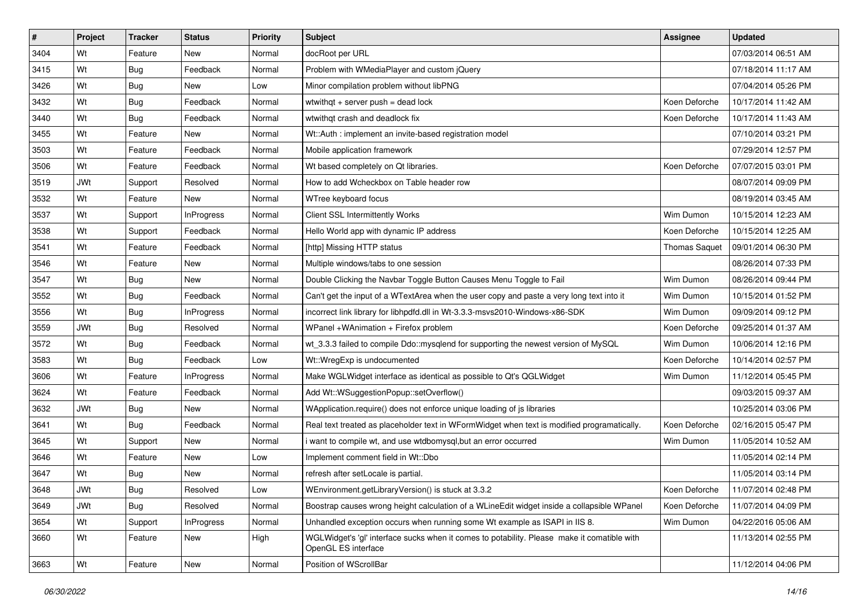| $\vert$ # | Project    | <b>Tracker</b> | <b>Status</b>     | <b>Priority</b> | Subject                                                                                                            | <b>Assignee</b>      | <b>Updated</b>      |
|-----------|------------|----------------|-------------------|-----------------|--------------------------------------------------------------------------------------------------------------------|----------------------|---------------------|
| 3404      | Wt         | Feature        | New               | Normal          | docRoot per URL                                                                                                    |                      | 07/03/2014 06:51 AM |
| 3415      | Wt         | Bug            | Feedback          | Normal          | Problem with WMediaPlayer and custom jQuery                                                                        |                      | 07/18/2014 11:17 AM |
| 3426      | Wt         | Bug            | <b>New</b>        | Low             | Minor compilation problem without libPNG                                                                           |                      | 07/04/2014 05:26 PM |
| 3432      | Wt         | Bug            | Feedback          | Normal          | wtwithqt + server push = dead lock                                                                                 | Koen Deforche        | 10/17/2014 11:42 AM |
| 3440      | Wt         | <b>Bug</b>     | Feedback          | Normal          | wtwithqt crash and deadlock fix                                                                                    | Koen Deforche        | 10/17/2014 11:43 AM |
| 3455      | Wt         | Feature        | New               | Normal          | Wt::Auth : implement an invite-based registration model                                                            |                      | 07/10/2014 03:21 PM |
| 3503      | Wt         | Feature        | Feedback          | Normal          | Mobile application framework                                                                                       |                      | 07/29/2014 12:57 PM |
| 3506      | Wt         | Feature        | Feedback          | Normal          | Wt based completely on Qt libraries.                                                                               | Koen Deforche        | 07/07/2015 03:01 PM |
| 3519      | <b>JWt</b> | Support        | Resolved          | Normal          | How to add Wcheckbox on Table header row                                                                           |                      | 08/07/2014 09:09 PM |
| 3532      | Wt         | Feature        | New               | Normal          | WTree keyboard focus                                                                                               |                      | 08/19/2014 03:45 AM |
| 3537      | Wt         | Support        | <b>InProgress</b> | Normal          | <b>Client SSL Intermittently Works</b>                                                                             | Wim Dumon            | 10/15/2014 12:23 AM |
| 3538      | Wt         | Support        | Feedback          | Normal          | Hello World app with dynamic IP address                                                                            | Koen Deforche        | 10/15/2014 12:25 AM |
| 3541      | Wt         | Feature        | Feedback          | Normal          | [http] Missing HTTP status                                                                                         | <b>Thomas Saquet</b> | 09/01/2014 06:30 PM |
| 3546      | Wt         | Feature        | New               | Normal          | Multiple windows/tabs to one session                                                                               |                      | 08/26/2014 07:33 PM |
| 3547      | Wt         | <b>Bug</b>     | New               | Normal          | Double Clicking the Navbar Toggle Button Causes Menu Toggle to Fail                                                | Wim Dumon            | 08/26/2014 09:44 PM |
| 3552      | Wt         | <b>Bug</b>     | Feedback          | Normal          | Can't get the input of a WTextArea when the user copy and paste a very long text into it                           | Wim Dumon            | 10/15/2014 01:52 PM |
| 3556      | Wt         | <b>Bug</b>     | <b>InProgress</b> | Normal          | incorrect link library for libhpdfd.dll in Wt-3.3.3-msvs2010-Windows-x86-SDK                                       | Wim Dumon            | 09/09/2014 09:12 PM |
| 3559      | <b>JWt</b> | <b>Bug</b>     | Resolved          | Normal          | WPanel +WAnimation + Firefox problem                                                                               | Koen Deforche        | 09/25/2014 01:37 AM |
| 3572      | Wt         | <b>Bug</b>     | Feedback          | Normal          | wt_3.3.3 failed to compile Ddo::mysqlend for supporting the newest version of MySQL                                | Wim Dumon            | 10/06/2014 12:16 PM |
| 3583      | Wt         | <b>Bug</b>     | Feedback          | Low             | Wt::WregExp is undocumented                                                                                        | Koen Deforche        | 10/14/2014 02:57 PM |
| 3606      | Wt         | Feature        | <b>InProgress</b> | Normal          | Make WGLWidget interface as identical as possible to Qt's QGLWidget                                                | Wim Dumon            | 11/12/2014 05:45 PM |
| 3624      | Wt         | Feature        | Feedback          | Normal          | Add Wt::WSuggestionPopup::setOverflow()                                                                            |                      | 09/03/2015 09:37 AM |
| 3632      | <b>JWt</b> | <b>Bug</b>     | <b>New</b>        | Normal          | WApplication.require() does not enforce unique loading of js libraries                                             |                      | 10/25/2014 03:06 PM |
| 3641      | Wt         | <b>Bug</b>     | Feedback          | Normal          | Real text treated as placeholder text in WFormWidget when text is modified programatically.                        | Koen Deforche        | 02/16/2015 05:47 PM |
| 3645      | Wt         | Support        | <b>New</b>        | Normal          | i want to compile wt, and use wtdbomysql, but an error occurred                                                    | Wim Dumon            | 11/05/2014 10:52 AM |
| 3646      | Wt         | Feature        | New               | Low             | Implement comment field in Wt::Dbo                                                                                 |                      | 11/05/2014 02:14 PM |
| 3647      | Wt         | <b>Bug</b>     | New               | Normal          | refresh after setLocale is partial.                                                                                |                      | 11/05/2014 03:14 PM |
| 3648      | <b>JWt</b> | Bug            | Resolved          | Low             | WEnvironment.getLibraryVersion() is stuck at 3.3.2                                                                 | Koen Deforche        | 11/07/2014 02:48 PM |
| 3649      | JWt        | <b>Bug</b>     | Resolved          | Normal          | Boostrap causes wrong height calculation of a WLineEdit widget inside a collapsible WPanel                         | Koen Deforche        | 11/07/2014 04:09 PM |
| 3654      | Wt         | Support        | InProgress        | Normal          | Unhandled exception occurs when running some Wt example as ISAPI in IIS 8.                                         | Wim Dumon            | 04/22/2016 05:06 AM |
| 3660      | Wt         | Feature        | New               | High            | WGLWidget's 'gl' interface sucks when it comes to potability. Please make it comatible with<br>OpenGL ES interface |                      | 11/13/2014 02:55 PM |
| 3663      | Wt         | Feature        | New               | Normal          | Position of WScrollBar                                                                                             |                      | 11/12/2014 04:06 PM |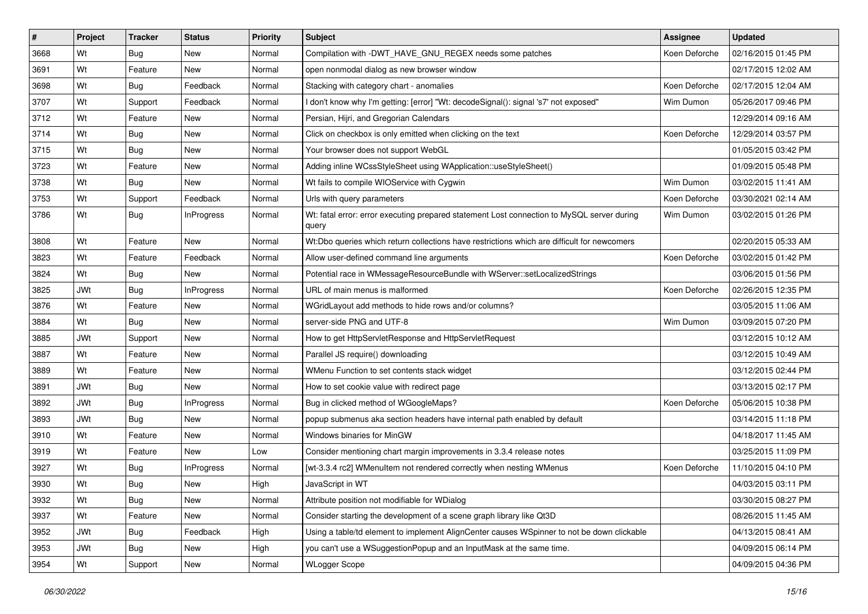| #    | Project    | Tracker    | <b>Status</b>     | <b>Priority</b> | <b>Subject</b>                                                                                      | Assignee      | <b>Updated</b>      |
|------|------------|------------|-------------------|-----------------|-----------------------------------------------------------------------------------------------------|---------------|---------------------|
| 3668 | Wt         | <b>Bug</b> | New               | Normal          | Compilation with -DWT HAVE GNU REGEX needs some patches                                             | Koen Deforche | 02/16/2015 01:45 PM |
| 3691 | Wt         | Feature    | New               | Normal          | open nonmodal dialog as new browser window                                                          |               | 02/17/2015 12:02 AM |
| 3698 | Wt         | <b>Bug</b> | Feedback          | Normal          | Stacking with category chart - anomalies                                                            | Koen Deforche | 02/17/2015 12:04 AM |
| 3707 | Wt         | Support    | Feedback          | Normal          | I don't know why I'm getting: [error] "Wt: decodeSignal(): signal 's7' not exposed"                 | Wim Dumon     | 05/26/2017 09:46 PM |
| 3712 | Wt         | Feature    | <b>New</b>        | Normal          | Persian, Hijri, and Gregorian Calendars                                                             |               | 12/29/2014 09:16 AM |
| 3714 | Wt         | <b>Bug</b> | New               | Normal          | Click on checkbox is only emitted when clicking on the text                                         | Koen Deforche | 12/29/2014 03:57 PM |
| 3715 | Wt         | <b>Bug</b> | New               | Normal          | Your browser does not support WebGL                                                                 |               | 01/05/2015 03:42 PM |
| 3723 | Wt         | Feature    | New               | Normal          | Adding inline WCssStyleSheet using WApplication::useStyleSheet()                                    |               | 01/09/2015 05:48 PM |
| 3738 | Wt         | <b>Bug</b> | New               | Normal          | Wt fails to compile WIOService with Cygwin                                                          | Wim Dumon     | 03/02/2015 11:41 AM |
| 3753 | Wt         | Support    | Feedback          | Normal          | Urls with query parameters                                                                          | Koen Deforche | 03/30/2021 02:14 AM |
| 3786 | Wt         | <b>Bug</b> | <b>InProgress</b> | Normal          | Wt: fatal error: error executing prepared statement Lost connection to MySQL server during<br>query | Wim Dumon     | 03/02/2015 01:26 PM |
| 3808 | Wt         | Feature    | <b>New</b>        | Normal          | Wt:Dbo queries which return collections have restrictions which are difficult for newcomers         |               | 02/20/2015 05:33 AM |
| 3823 | Wt         | Feature    | Feedback          | Normal          | Allow user-defined command line arguments                                                           | Koen Deforche | 03/02/2015 01:42 PM |
| 3824 | Wt         | <b>Bug</b> | New               | Normal          | Potential race in WMessageResourceBundle with WServer::setLocalizedStrings                          |               | 03/06/2015 01:56 PM |
| 3825 | <b>JWt</b> | Bug        | <b>InProgress</b> | Normal          | URL of main menus is malformed                                                                      | Koen Deforche | 02/26/2015 12:35 PM |
| 3876 | Wt         | Feature    | New               | Normal          | WGridLayout add methods to hide rows and/or columns?                                                |               | 03/05/2015 11:06 AM |
| 3884 | Wt         | <b>Bug</b> | <b>New</b>        | Normal          | server-side PNG and UTF-8                                                                           | Wim Dumon     | 03/09/2015 07:20 PM |
| 3885 | <b>JWt</b> | Support    | New               | Normal          | How to get HttpServletResponse and HttpServletRequest                                               |               | 03/12/2015 10:12 AM |
| 3887 | Wt         | Feature    | New               | Normal          | Parallel JS require() downloading                                                                   |               | 03/12/2015 10:49 AM |
| 3889 | Wt         | Feature    | New               | Normal          | WMenu Function to set contents stack widget                                                         |               | 03/12/2015 02:44 PM |
| 3891 | <b>JWt</b> | <b>Bug</b> | New               | Normal          | How to set cookie value with redirect page                                                          |               | 03/13/2015 02:17 PM |
| 3892 | <b>JWt</b> | Bug        | <b>InProgress</b> | Normal          | Bug in clicked method of WGoogleMaps?                                                               | Koen Deforche | 05/06/2015 10:38 PM |
| 3893 | <b>JWt</b> | <b>Bug</b> | New               | Normal          | popup submenus aka section headers have internal path enabled by default                            |               | 03/14/2015 11:18 PM |
| 3910 | Wt         | Feature    | New               | Normal          | Windows binaries for MinGW                                                                          |               | 04/18/2017 11:45 AM |
| 3919 | Wt         | Feature    | New               | Low             | Consider mentioning chart margin improvements in 3.3.4 release notes                                |               | 03/25/2015 11:09 PM |
| 3927 | Wt         | Bug        | <b>InProgress</b> | Normal          | [wt-3.3.4 rc2] WMenuItem not rendered correctly when nesting WMenus                                 | Koen Deforche | 11/10/2015 04:10 PM |
| 3930 | Wt         | <b>Bug</b> | New               | High            | JavaScript in WT                                                                                    |               | 04/03/2015 03:11 PM |
| 3932 | Wt         | <b>Bug</b> | New               | Normal          | Attribute position not modifiable for WDialog                                                       |               | 03/30/2015 08:27 PM |
| 3937 | Wt         | Feature    | New               | Normal          | Consider starting the development of a scene graph library like Qt3D                                |               | 08/26/2015 11:45 AM |
| 3952 | JWt        | <b>Bug</b> | Feedback          | High            | Using a table/td element to implement AlignCenter causes WSpinner to not be down clickable          |               | 04/13/2015 08:41 AM |
| 3953 | <b>JWt</b> | <b>Bug</b> | New               | High            | you can't use a WSuggestionPopup and an InputMask at the same time.                                 |               | 04/09/2015 06:14 PM |
| 3954 | Wt         | Support    | New               | Normal          | <b>WLogger Scope</b>                                                                                |               | 04/09/2015 04:36 PM |